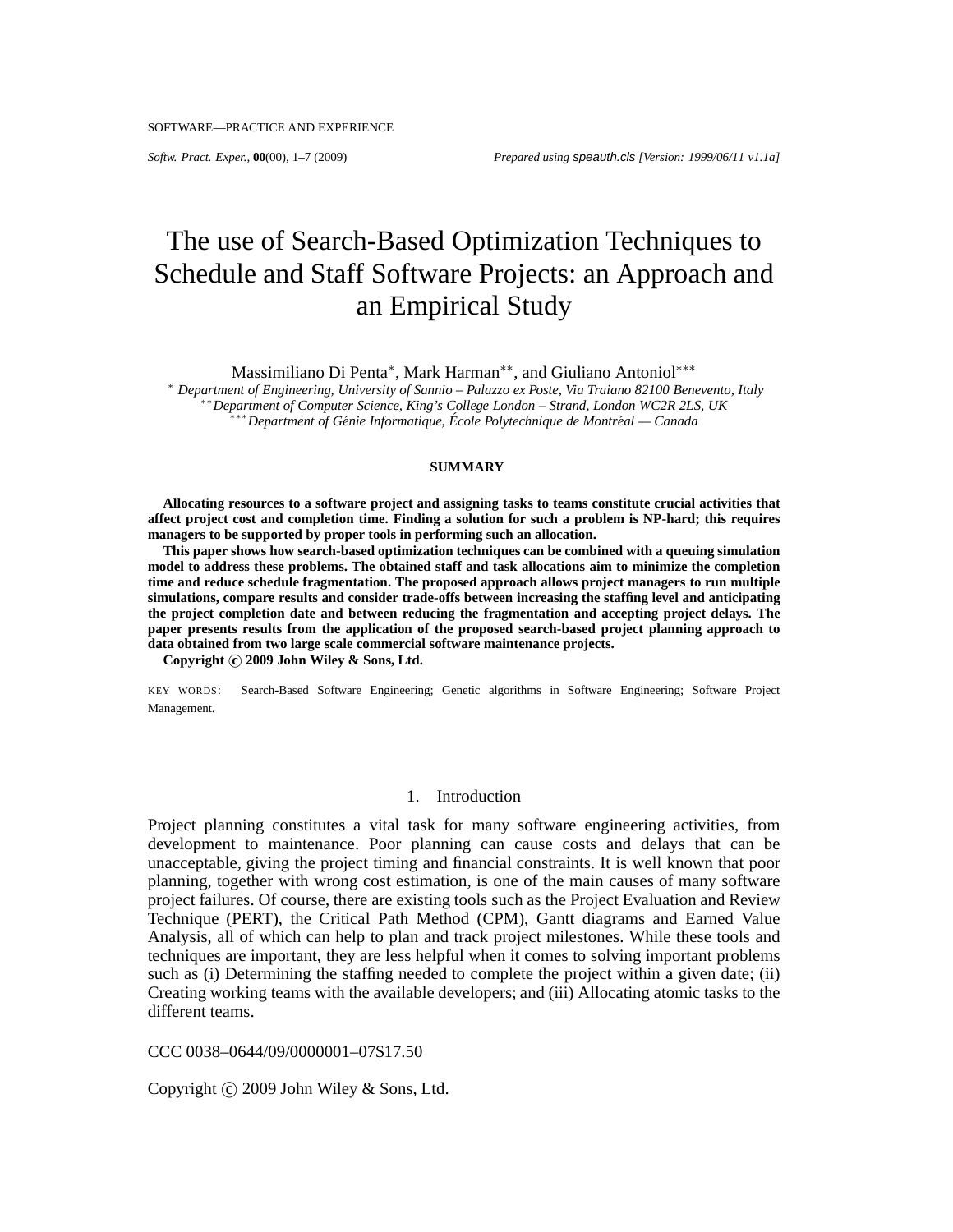# The use of Search-Based Optimization Techniques to Schedule and Staff Software Projects: an Approach and an Empirical Study

Massimiliano Di Penta<sup>\*</sup>, Mark Harman<sup>\*\*</sup>, and Giuliano Antoniol<sup>\*\*\*</sup>

<sup>∗</sup> *Department of Engineering, University of Sannio – Palazzo ex Poste, Via Traiano 82100 Benevento, Italy* ∗∗*Department of Computer Science, King's College London – Strand, London WC2R 2LS, UK* ∗∗∗*Department of G´enie Informatique, Ecole Polytechnique de Montr´eal — Canada ´*

#### **SUMMARY**

**Allocating resources to a software project and assigning tasks to teams constitute crucial activities that affect project cost and completion time. Finding a solution for such a problem is NP-hard; this requires managers to be supported by proper tools in performing such an allocation.**

**This paper shows how search-based optimization techniques can be combined with a queuing simulation model to address these problems. The obtained staff and task allocations aim to minimize the completion time and reduce schedule fragmentation. The proposed approach allows project managers to run multiple simulations, compare results and consider trade-offs between increasing the staffing level and anticipating the project completion date and between reducing the fragmentation and accepting project delays. The paper presents results from the application of the proposed search-based project planning approach to data obtained from two large scale commercial software maintenance projects.**

**Copyright c 2009 John Wiley & Sons, Ltd.**

KEY WORDS: Search-Based Software Engineering; Genetic algorithms in Software Engineering; Software Project Management.

# 1. Introduction

Project planning constitutes a vital task for many software engineering activities, from development to maintenance. Poor planning can cause costs and delays that can be unacceptable, giving the project timing and financial constraints. It is well known that poor planning, together with wrong cost estimation, is one of the main causes of many software project failures. Of course, there are existing tools such as the Project Evaluation and Review Technique (PERT), the Critical Path Method (CPM), Gantt diagrams and Earned Value Analysis, all of which can help to plan and track project milestones. While these tools and techniques are important, they are less helpful when it comes to solving important problems such as (i) Determining the staffing needed to complete the project within a given date; (ii) Creating working teams with the available developers; and (iii) Allocating atomic tasks to the different teams.

CCC 0038–0644/09/0000001–07\$17.50

Copyright  $\odot$  2009 John Wiley & Sons, Ltd.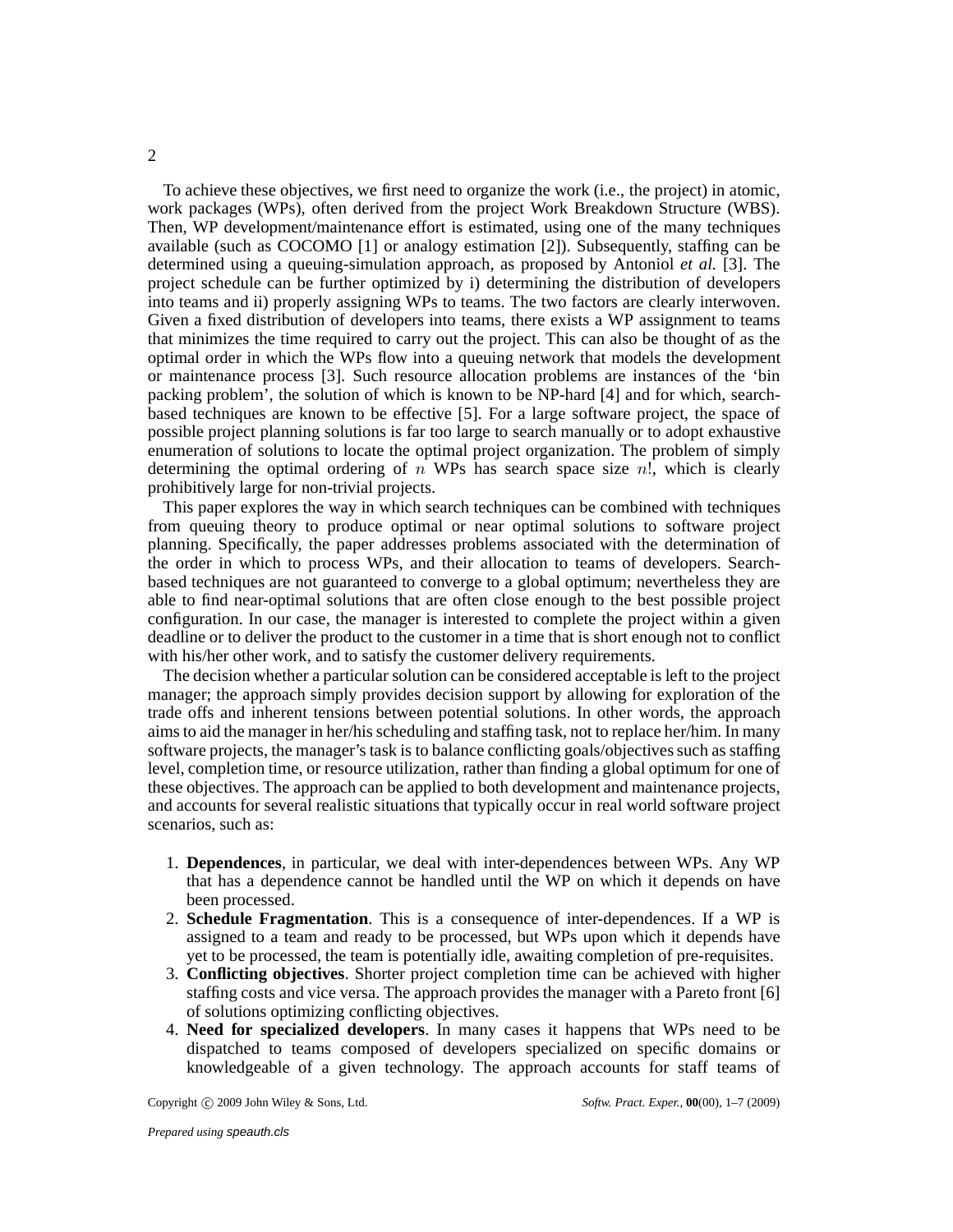To achieve these objectives, we first need to organize the work (i.e., the project) in atomic, work packages (WPs), often derived from the project Work Breakdown Structure (WBS). Then, WP development/maintenance effort is estimated, using one of the many techniques available (such as COCOMO [1] or analogy estimation [2]). Subsequently, staffing can be determined using a queuing-simulation approach, as proposed by Antoniol *et al.* [3]. The project schedule can be further optimized by i) determining the distribution of developers into teams and ii) properly assigning WPs to teams. The two factors are clearly interwoven. Given a fixed distribution of developers into teams, there exists a WP assignment to teams that minimizes the time required to carry out the project. This can also be thought of as the optimal order in which the WPs flow into a queuing network that models the development or maintenance process [3]. Such resource allocation problems are instances of the 'bin packing problem', the solution of which is known to be NP-hard [4] and for which, searchbased techniques are known to be effective [5]. For a large software project, the space of possible project planning solutions is far too large to search manually or to adopt exhaustive enumeration of solutions to locate the optimal project organization. The problem of simply determining the optimal ordering of  $n$  WPs has search space size  $n!$ , which is clearly prohibitively large for non-trivial projects.

This paper explores the way in which search techniques can be combined with techniques from queuing theory to produce optimal or near optimal solutions to software project planning. Specifically, the paper addresses problems associated with the determination of the order in which to process WPs, and their allocation to teams of developers. Searchbased techniques are not guaranteed to converge to a global optimum; nevertheless they are able to find near-optimal solutions that are often close enough to the best possible project configuration. In our case, the manager is interested to complete the project within a given deadline or to deliver the product to the customer in a time that is short enough not to conflict with his/her other work, and to satisfy the customer delivery requirements.

The decision whether a particular solution can be considered acceptable is left to the project manager; the approach simply provides decision support by allowing for exploration of the trade offs and inherent tensions between potential solutions. In other words, the approach aims to aid the manager in her/his scheduling and staffing task, not to replace her/him. In many software projects, the manager's task is to balance conflicting goals/objectives such as staffing level, completion time, or resource utilization, rather than finding a global optimum for one of these objectives. The approach can be applied to both development and maintenance projects, and accounts for several realistic situations that typically occur in real world software project scenarios, such as:

- 1. **Dependences**, in particular, we deal with inter-dependences between WPs. Any WP that has a dependence cannot be handled until the WP on which it depends on have been processed.
- 2. **Schedule Fragmentation**. This is a consequence of inter-dependences. If a WP is assigned to a team and ready to be processed, but WPs upon which it depends have yet to be processed, the team is potentially idle, awaiting completion of pre-requisites.
- 3. **Conflicting objectives**. Shorter project completion time can be achieved with higher staffing costs and vice versa. The approach provides the manager with a Pareto front [6] of solutions optimizing conflicting objectives.
- 4. **Need for specialized developers**. In many cases it happens that WPs need to be dispatched to teams composed of developers specialized on specific domains or knowledgeable of a given technology. The approach accounts for staff teams of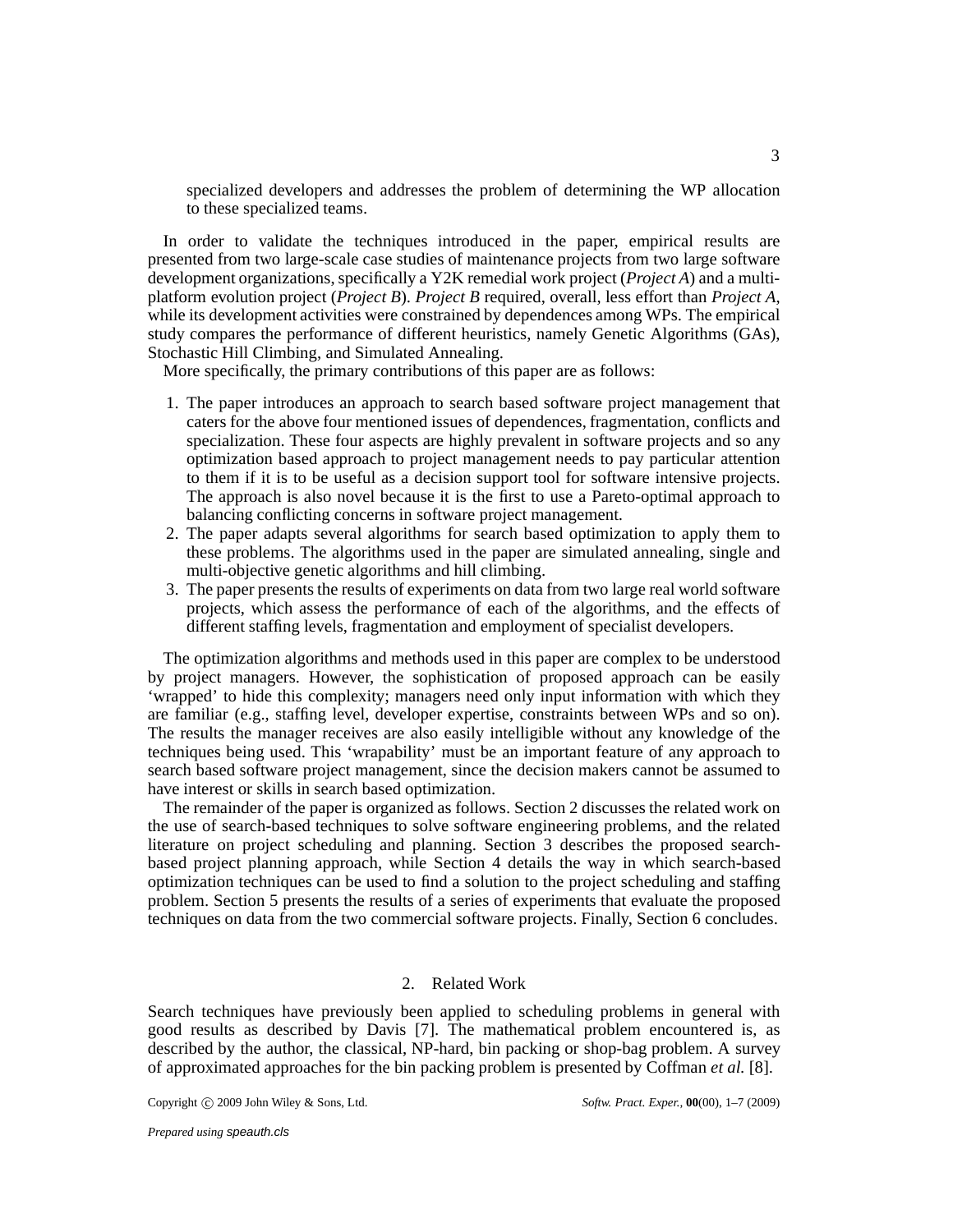specialized developers and addresses the problem of determining the WP allocation to these specialized teams.

In order to validate the techniques introduced in the paper, empirical results are presented from two large-scale case studies of maintenance projects from two large software development organizations, specifically a Y2K remedial work project (*Project A*) and a multiplatform evolution project (*Project B*). *Project B* required, overall, less effort than *Project A*, while its development activities were constrained by dependences among WPs. The empirical study compares the performance of different heuristics, namely Genetic Algorithms (GAs), Stochastic Hill Climbing, and Simulated Annealing.

More specifically, the primary contributions of this paper are as follows:

- 1. The paper introduces an approach to search based software project management that caters for the above four mentioned issues of dependences, fragmentation, conflicts and specialization. These four aspects are highly prevalent in software projects and so any optimization based approach to project management needs to pay particular attention to them if it is to be useful as a decision support tool for software intensive projects. The approach is also novel because it is the first to use a Pareto-optimal approach to balancing conflicting concerns in software project management.
- 2. The paper adapts several algorithms for search based optimization to apply them to these problems. The algorithms used in the paper are simulated annealing, single and multi-objective genetic algorithms and hill climbing.
- 3. The paper presents the results of experiments on data from two large real world software projects, which assess the performance of each of the algorithms, and the effects of different staffing levels, fragmentation and employment of specialist developers.

The optimization algorithms and methods used in this paper are complex to be understood by project managers. However, the sophistication of proposed approach can be easily 'wrapped' to hide this complexity; managers need only input information with which they are familiar (e.g., staffing level, developer expertise, constraints between WPs and so on). The results the manager receives are also easily intelligible without any knowledge of the techniques being used. This 'wrapability' must be an important feature of any approach to search based software project management, since the decision makers cannot be assumed to have interest or skills in search based optimization.

The remainder of the paper is organized as follows. Section 2 discusses the related work on the use of search-based techniques to solve software engineering problems, and the related literature on project scheduling and planning. Section 3 describes the proposed searchbased project planning approach, while Section 4 details the way in which search-based optimization techniques can be used to find a solution to the project scheduling and staffing problem. Section 5 presents the results of a series of experiments that evaluate the proposed techniques on data from the two commercial software projects. Finally, Section 6 concludes.

# 2. Related Work

Search techniques have previously been applied to scheduling problems in general with good results as described by Davis [7]. The mathematical problem encountered is, as described by the author, the classical, NP-hard, bin packing or shop-bag problem. A survey of approximated approaches for the bin packing problem is presented by Coffman *et al.* [8].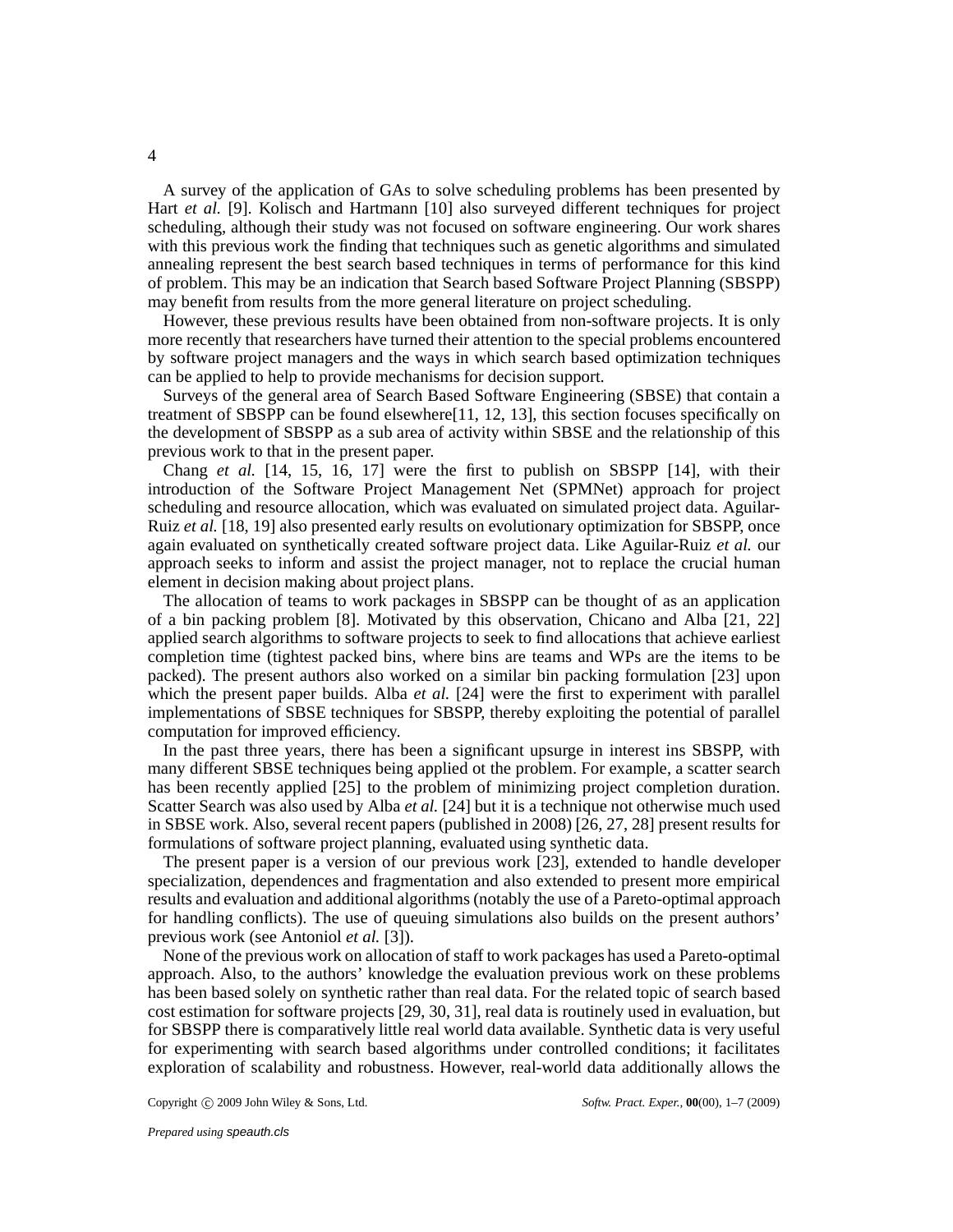A survey of the application of GAs to solve scheduling problems has been presented by Hart *et al.* [9]. Kolisch and Hartmann [10] also surveyed different techniques for project scheduling, although their study was not focused on software engineering. Our work shares with this previous work the finding that techniques such as genetic algorithms and simulated annealing represent the best search based techniques in terms of performance for this kind of problem. This may be an indication that Search based Software Project Planning (SBSPP) may benefit from results from the more general literature on project scheduling.

However, these previous results have been obtained from non-software projects. It is only more recently that researchers have turned their attention to the special problems encountered by software project managers and the ways in which search based optimization techniques can be applied to help to provide mechanisms for decision support.

Surveys of the general area of Search Based Software Engineering (SBSE) that contain a treatment of SBSPP can be found elsewhere[11, 12, 13], this section focuses specifically on the development of SBSPP as a sub area of activity within SBSE and the relationship of this previous work to that in the present paper.

Chang *et al.* [14, 15, 16, 17] were the first to publish on SBSPP [14], with their introduction of the Software Project Management Net (SPMNet) approach for project scheduling and resource allocation, which was evaluated on simulated project data. Aguilar-Ruiz *et al.* [18, 19] also presented early results on evolutionary optimization for SBSPP, once again evaluated on synthetically created software project data. Like Aguilar-Ruiz *et al.* our approach seeks to inform and assist the project manager, not to replace the crucial human element in decision making about project plans.

The allocation of teams to work packages in SBSPP can be thought of as an application of a bin packing problem [8]. Motivated by this observation, Chicano and Alba [21, 22] applied search algorithms to software projects to seek to find allocations that achieve earliest completion time (tightest packed bins, where bins are teams and WPs are the items to be packed). The present authors also worked on a similar bin packing formulation [23] upon which the present paper builds. Alba *et al.* [24] were the first to experiment with parallel implementations of SBSE techniques for SBSPP, thereby exploiting the potential of parallel computation for improved efficiency.

In the past three years, there has been a significant upsurge in interest ins SBSPP, with many different SBSE techniques being applied ot the problem. For example, a scatter search has been recently applied [25] to the problem of minimizing project completion duration. Scatter Search was also used by Alba *et al.* [24] but it is a technique not otherwise much used in SBSE work. Also, several recent papers (published in 2008) [26, 27, 28] present results for formulations of software project planning, evaluated using synthetic data.

The present paper is a version of our previous work [23], extended to handle developer specialization, dependences and fragmentation and also extended to present more empirical results and evaluation and additional algorithms (notably the use of a Pareto-optimal approach for handling conflicts). The use of queuing simulations also builds on the present authors' previous work (see Antoniol *et al.* [3]).

None of the previous work on allocation of staff to work packages has used a Pareto-optimal approach. Also, to the authors' knowledge the evaluation previous work on these problems has been based solely on synthetic rather than real data. For the related topic of search based cost estimation for software projects [29, 30, 31], real data is routinely used in evaluation, but for SBSPP there is comparatively little real world data available. Synthetic data is very useful for experimenting with search based algorithms under controlled conditions; it facilitates exploration of scalability and robustness. However, real-world data additionally allows the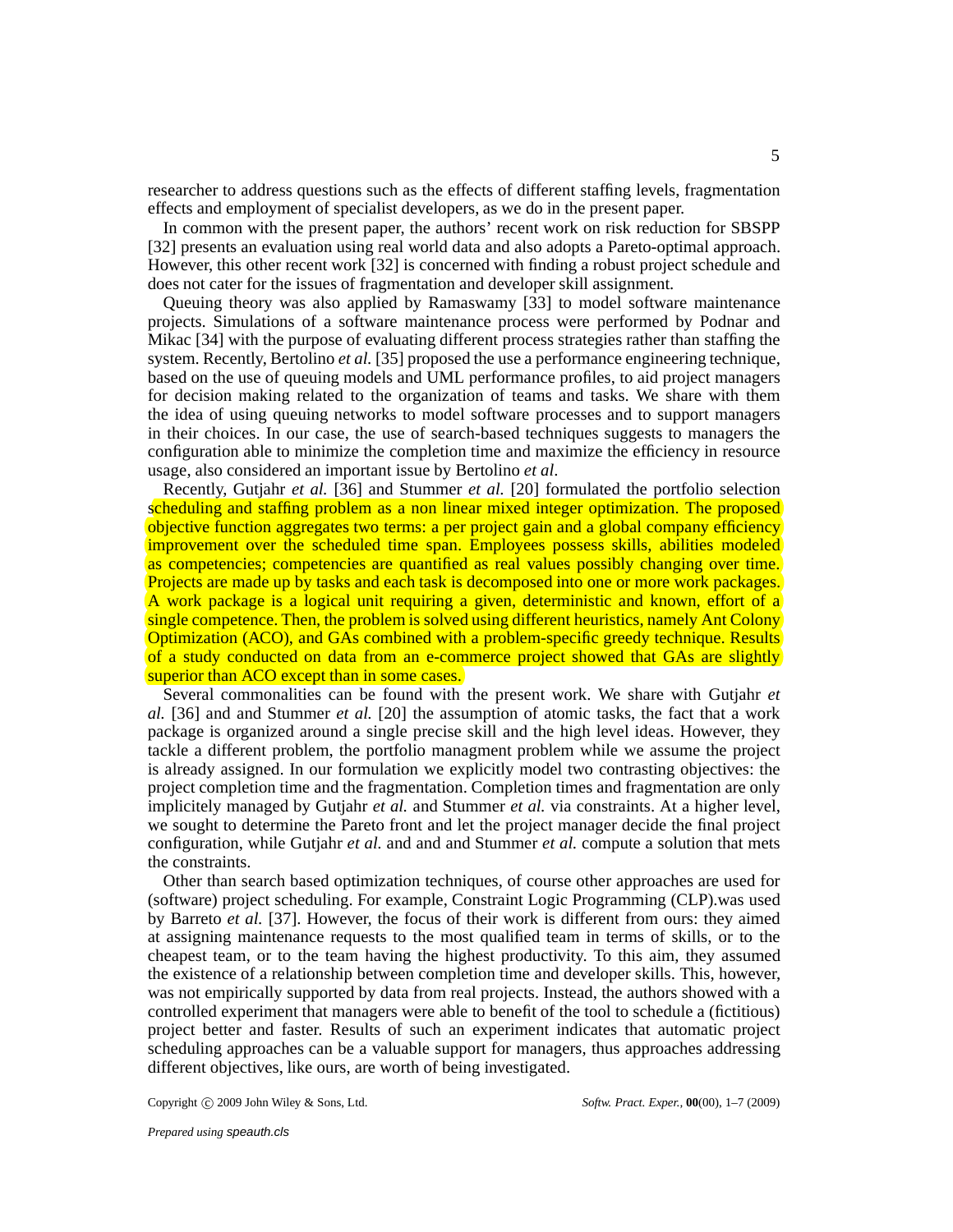researcher to address questions such as the effects of different staffing levels, fragmentation effects and employment of specialist developers, as we do in the present paper.

In common with the present paper, the authors' recent work on risk reduction for SBSPP [32] presents an evaluation using real world data and also adopts a Pareto-optimal approach. However, this other recent work [32] is concerned with finding a robust project schedule and does not cater for the issues of fragmentation and developer skill assignment.

Queuing theory was also applied by Ramaswamy [33] to model software maintenance projects. Simulations of a software maintenance process were performed by Podnar and Mikac [34] with the purpose of evaluating different process strategies rather than staffing the system. Recently, Bertolino *et al.* [35] proposed the use a performance engineering technique, based on the use of queuing models and UML performance profiles, to aid project managers for decision making related to the organization of teams and tasks. We share with them the idea of using queuing networks to model software processes and to support managers in their choices. In our case, the use of search-based techniques suggests to managers the configuration able to minimize the completion time and maximize the efficiency in resource usage, also considered an important issue by Bertolino *et al*.

Recently, Gutjahr *et al.* [36] and Stummer *et al.* [20] formulated the portfolio selection scheduling and staffing problem as a non linear mixed integer optimization. The proposed objective function aggregates two terms: a per project gain and a global company efficiency improvement over the scheduled time span. Employees possess skills, abilities modeled as competencies; competencies are quantified as real values possibly changing over time. Projects are made up by tasks and each task is decomposed into one or more work packages. A work package is a logical unit requiring a given, deterministic and known, effort of a single competence. Then, the problem is solved using different heuristics, namely Ant Colony Optimization (ACO), and GAs combined with a problem-specific greedy technique. Results of a study conducted on data from an e-commerce project showed that GAs are slightly superior than ACO except than in some cases.

Several commonalities can be found with the present work. We share with Gutjahr *et al.* [36] and and Stummer *et al.* [20] the assumption of atomic tasks, the fact that a work package is organized around a single precise skill and the high level ideas. However, they tackle a different problem, the portfolio managment problem while we assume the project is already assigned. In our formulation we explicitly model two contrasting objectives: the project completion time and the fragmentation. Completion times and fragmentation are only implicitely managed by Gutjahr *et al.* and Stummer *et al.* via constraints. At a higher level, we sought to determine the Pareto front and let the project manager decide the final project configuration, while Gutjahr *et al.* and and and Stummer *et al.* compute a solution that mets the constraints.

Other than search based optimization techniques, of course other approaches are used for (software) project scheduling. For example, Constraint Logic Programming (CLP).was used by Barreto *et al.* [37]. However, the focus of their work is different from ours: they aimed at assigning maintenance requests to the most qualified team in terms of skills, or to the cheapest team, or to the team having the highest productivity. To this aim, they assumed the existence of a relationship between completion time and developer skills. This, however, was not empirically supported by data from real projects. Instead, the authors showed with a controlled experiment that managers were able to benefit of the tool to schedule a (fictitious) project better and faster. Results of such an experiment indicates that automatic project scheduling approaches can be a valuable support for managers, thus approaches addressing different objectives, like ours, are worth of being investigated.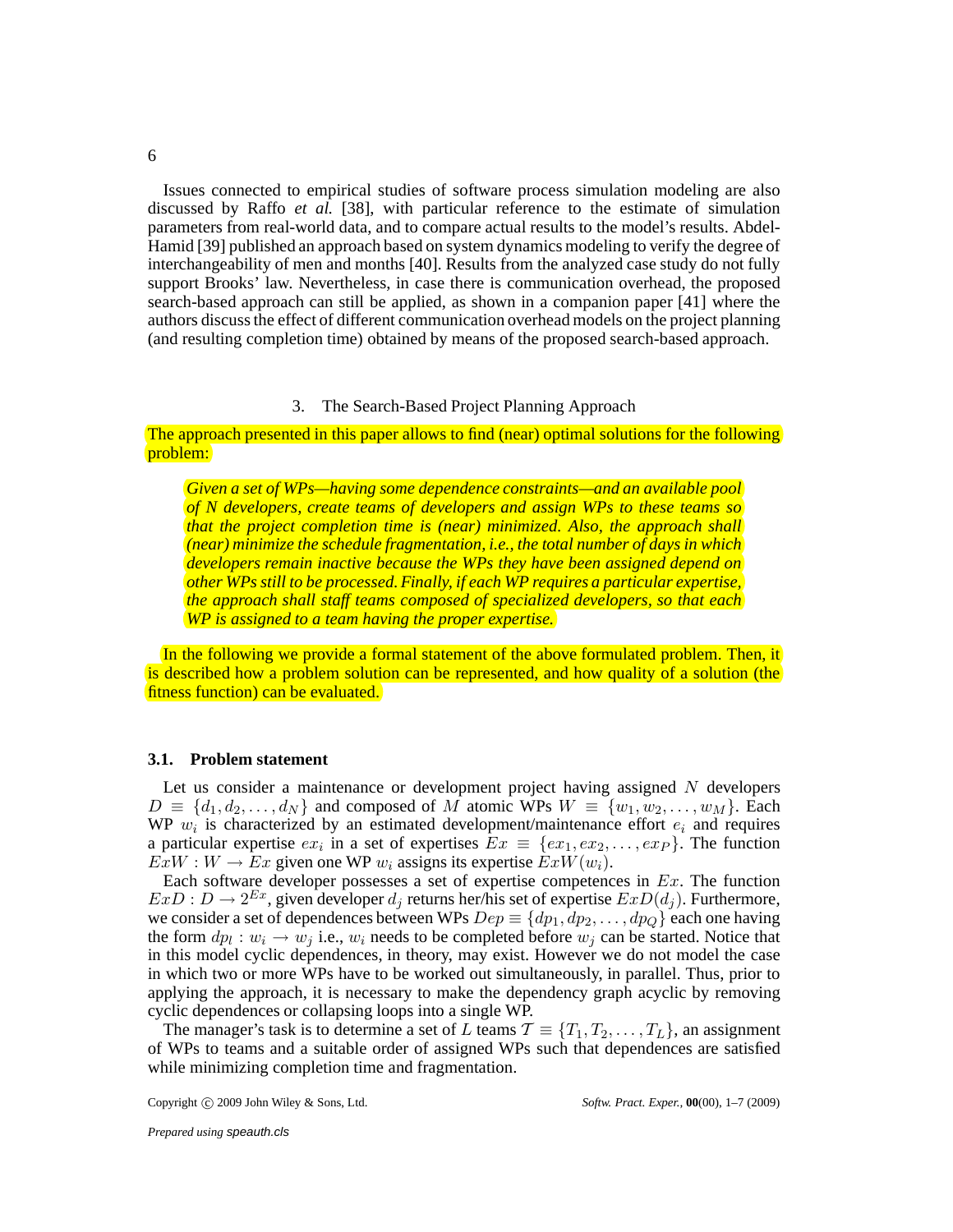6

Issues connected to empirical studies of software process simulation modeling are also discussed by Raffo *et al.* [38], with particular reference to the estimate of simulation parameters from real-world data, and to compare actual results to the model's results. Abdel-Hamid [39] published an approach based on system dynamics modeling to verify the degree of interchangeability of men and months [40]. Results from the analyzed case study do not fully support Brooks' law. Nevertheless, in case there is communication overhead, the proposed search-based approach can still be applied, as shown in a companion paper [41] where the authors discuss the effect of different communication overhead models on the project planning (and resulting completion time) obtained by means of the proposed search-based approach.

#### 3. The Search-Based Project Planning Approach

The approach presented in this paper allows to find (near) optimal solutions for the following problem:

*Given a set of WPs—having some dependence constraints—and an available pool of N developers, create teams of developers and assign WPs to these teams so that the project completion time is (near) minimized. Also, the approach shall (near) minimize the schedule fragmentation, i.e., the total number of days in which developers remain inactive because the WPs they have been assigned depend on other WPs still to be processed. Finally, if each WP requires a particular expertise, the approach shall staff teams composed of specialized developers, so that each WP is assigned to a team having the proper expertise.*

In the following we provide a formal statement of the above formulated problem. Then, it is described how a problem solution can be represented, and how quality of a solution (the fitness function) can be evaluated.

## **3.1. Problem statement**

Let us consider a maintenance or development project having assigned  $N$  developers  $D \equiv \{d_1, d_2, \ldots, d_N\}$  and composed of M atomic WPs  $W \equiv \{w_1, w_2, \ldots, w_M\}$ . Each WP  $w_i$  is characterized by an estimated development/maintenance effort  $e_i$  and requires a particular expertise  $ex_i$  in a set of expertises  $Ex \equiv \{ex_1, ex_2, \ldots, ex_P\}$ . The function  $ExW: W \to Ex$  given one WP  $w_i$  assigns its expertise  $ExW(w_i)$ .

Each software developer possesses a set of expertise competences in  $Ex$ . The function  $Exp: D \to 2^{Ex}$ , given developer  $d_j$  returns her/his set of expertise  $Exp(d_j)$ . Furthermore, we consider a set of dependences between WPs  $Dep \equiv \{dp_1, dp_2, \ldots, dp_Q\}$  each one having the form  $dp_l: w_i \to w_j$  i.e.,  $w_i$  needs to be completed before  $w_j$  can be started. Notice that in this model cyclic dependences, in theory, may exist. However we do not model the case in which two or more WPs have to be worked out simultaneously, in parallel. Thus, prior to applying the approach, it is necessary to make the dependency graph acyclic by removing cyclic dependences or collapsing loops into a single WP.

The manager's task is to determine a set of L teams  $\mathcal{T} \equiv \{T_1, T_2, \dots, T_L\}$ , an assignment of WPs to teams and a suitable order of assigned WPs such that dependences are satisfied while minimizing completion time and fragmentation.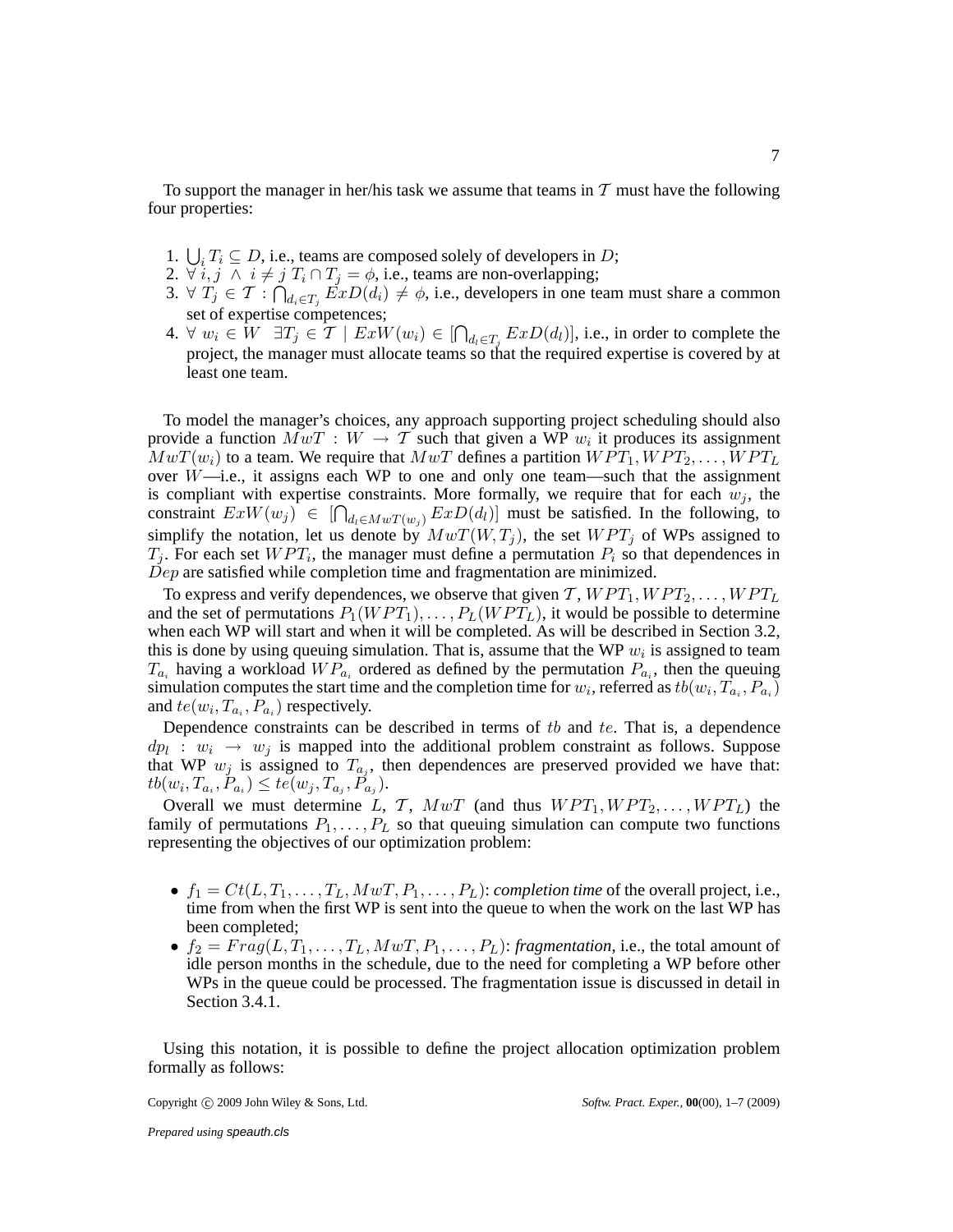To support the manager in her/his task we assume that teams in  $T$  must have the following four properties:

- 1.  $\bigcup_i T_i \subseteq D$ , i.e., teams are composed solely of developers in D;
- 2.  $\forall i, j \land i \neq j$   $T_i \cap T_j = \phi$ , i.e., teams are non-overlapping;
- 3.  $\forall T_j \in \mathcal{T} : \bigcap_{d_i \in T_j} Exp(d_i) \neq \emptyset$ , i.e., developers in one team must share a common set of expertise competences;
- 4.  $\forall w_i \in W \ \exists T_j \in \mathcal{T} \mid ExW(w_i) \in [\bigcap_{d_i \in T_j} ExD(d_i)],$  i.e., in order to complete the project, the manager must allocate teams so that the required expertise is covered by at least one team.

To model the manager's choices, any approach supporting project scheduling should also provide a function  $MwT : W \to T$  such that given a WP  $w_i$  it produces its assignment  $MwT(w_i)$  to a team. We require that  $MwT$  defines a partition  $WPT_1, WPT_2, \ldots, WPT_L$ over W—i.e., it assigns each WP to one and only one team—such that the assignment is compliant with expertise constraints. More formally, we require that for each  $w_j$ , the constraint  $ExW(w_j) \in \left[\bigcap_{d_l \in MwT(w_j)} ExD(d_l)\right]$  must be satisfied. In the following, to simplify the notation, let us denote by  $MwT(W, T_j)$ , the set  $WPT_j$  of WPs assigned to  $T_j$ . For each set  $WPT_i$ , the manager must define a permutation  $P_i$  so that dependences in  $\dot{Dep}$  are satisfied while completion time and fragmentation are minimized.

To express and verify dependences, we observe that given T,  $WPT_1, WPT_2, \ldots, WPT_L$ and the set of permutations  $P_1(WPT_1), \ldots, P_L(WPT_L)$ , it would be possible to determine when each WP will start and when it will be completed. As will be described in Section 3.2, this is done by using queuing simulation. That is, assume that the WP  $w_i$  is assigned to team  $T_{a_i}$  having a workload  $WP_{a_i}$  ordered as defined by the permutation  $P_{a_i}$ , then the queuing simulation computes the start time and the completion time for  $w_i$ , referred as  $tb(w_i, T_{a_i}, P_{a_i})$ and  $te(w_i, T_{a_i}, P_{a_i})$  respectively.

Dependence constraints can be described in terms of  $tb$  and  $te$ . That is, a dependence  $dp_l: w_i \rightarrow w_j$  is mapped into the additional problem constraint as follows. Suppose that WP  $w_j$  is assigned to  $T_{a_j}$ , then dependences are preserved provided we have that:  $tb(w_i, T_{a_i}, P_{a_i}) \leq te(w_j, T_{a_j}, P_{a_j}).$ 

Overall we must determine L, T,  $MwT$  (and thus  $WPT_1, WPT_2, \ldots, WPT_L$ ) the family of permutations  $P_1, \ldots, P_L$  so that queuing simulation can compute two functions representing the objectives of our optimization problem:

- $f_1 = Ct(L, T_1, \ldots, T_L, MwT, P_1, \ldots, P_L)$ : *completion time* of the overall project, i.e., time from when the first WP is sent into the queue to when the work on the last WP has been completed;
- $f_2 = Frag(L, T_1, \ldots, T_L, MwT, P_1, \ldots, P_L)$ : *fragmentation*, i.e., the total amount of idle person months in the schedule, due to the need for completing a WP before other WPs in the queue could be processed. The fragmentation issue is discussed in detail in Section 3.4.1.

Using this notation, it is possible to define the project allocation optimization problem formally as follows: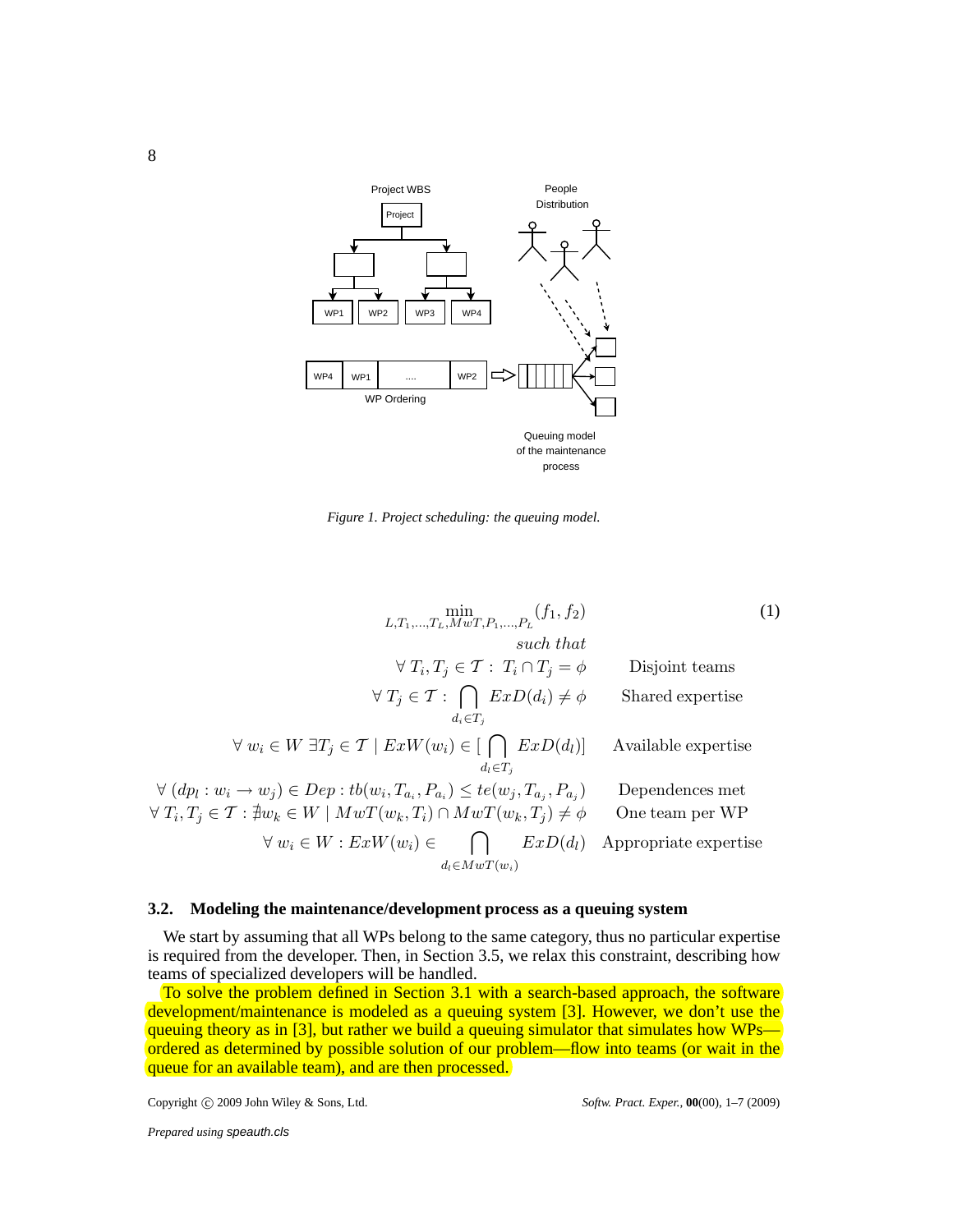

*Figure 1. Project scheduling: the queuing model.*

$$
\min_{L,T_1,\dots,T_L,MwT,P_1,\dots,P_L}(f_1,f_2)
$$
\n*such that*\n
$$
\forall T_i, T_j \in \mathcal{T} : T_i \cap T_j = \phi
$$
\nDisjoint teams\n
$$
\forall T_j \in \mathcal{T} : \bigcap_{d_i \in T_j} ExD(d_i) \neq \phi
$$
\nShared expertise\n
$$
d_i \in T_j
$$
\n
$$
\forall w_i \in W \exists T_j \in \mathcal{T} \mid ExW(w_i) \in [\bigcap_{d_i \in T_j} ExD(d_i)]
$$
\nAvailable expertise\n
$$
\forall (dp_l : w_i \rightarrow w_j) \in Dep: tb(w_i, T_{a_i}, P_{a_i}) \le te(w_j, T_{a_j}, P_{a_j})
$$
\nDependences met\n
$$
\forall T_i, T_j \in \mathcal{T} : \nexists w_k \in W \mid MwT(w_k, T_i) \cap MwT(w_k, T_j) \neq \phi
$$
\nOne team per WP\n
$$
\forall w_i \in W : ExW(w_i) \in \bigcap_{d_i \in MwT(w_i)} ExD(d_i)
$$
\nApproxiate expertise\n
$$
d_i \in MwT(w_i)
$$
\n(1)

## **3.2. Modeling the maintenance/development process as a queuing system**

We start by assuming that all WPs belong to the same category, thus no particular expertise is required from the developer. Then, in Section 3.5, we relax this constraint, describing how teams of specialized developers will be handled.

To solve the problem defined in Section 3.1 with a search-based approach, the software development/maintenance is modeled as a queuing system [3]. However, we don't use the queuing theory as in [3], but rather we build a queuing simulator that simulates how WPs ordered as determined by possible solution of our problem—flow into teams (or wait in the queue for an available team), and are then processed.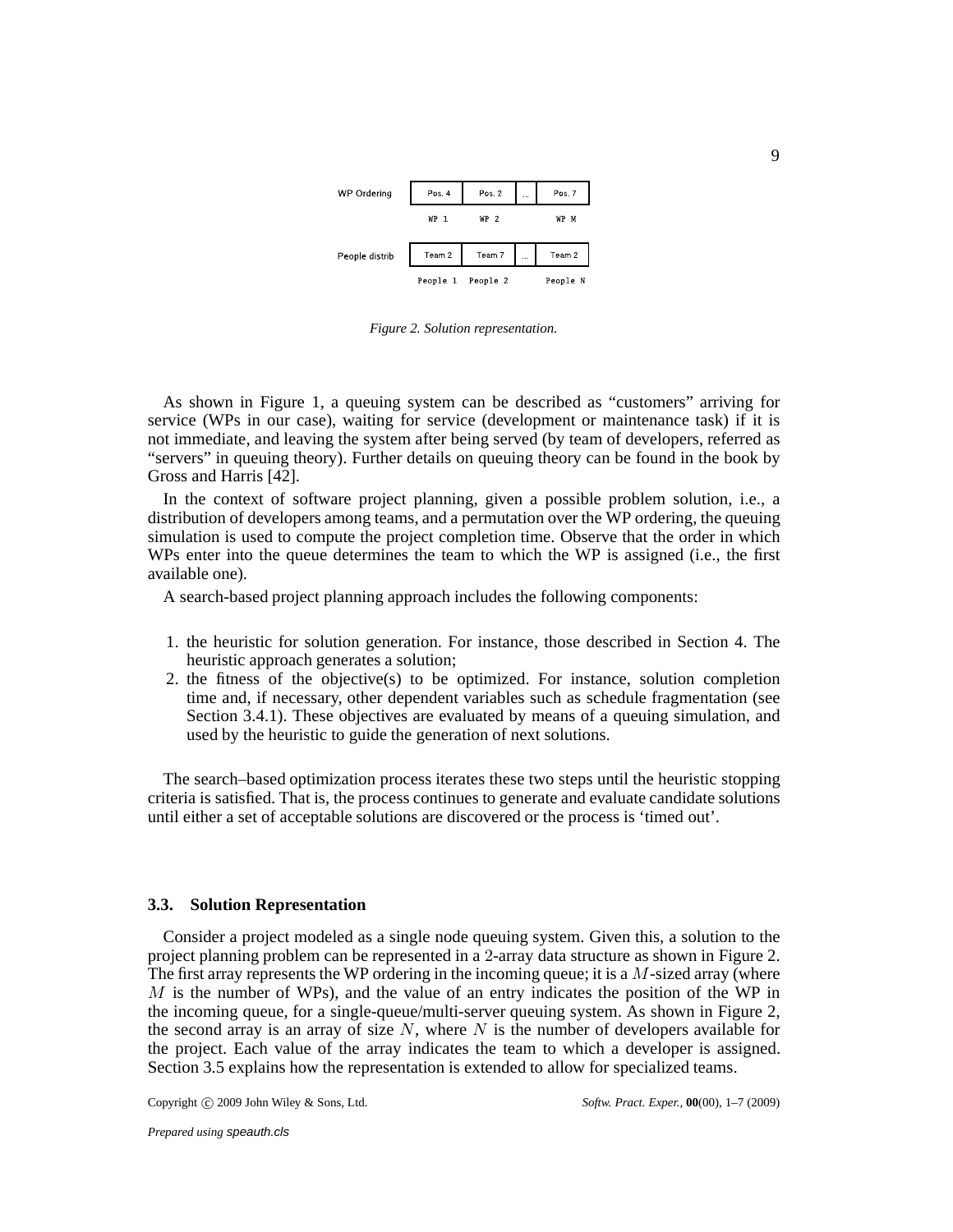

*Figure 2. Solution representation.*

As shown in Figure 1, a queuing system can be described as "customers" arriving for service (WPs in our case), waiting for service (development or maintenance task) if it is not immediate, and leaving the system after being served (by team of developers, referred as "servers" in queuing theory). Further details on queuing theory can be found in the book by Gross and Harris [42].

In the context of software project planning, given a possible problem solution, i.e., a distribution of developers among teams, and a permutation over the WP ordering, the queuing simulation is used to compute the project completion time. Observe that the order in which WPs enter into the queue determines the team to which the WP is assigned (i.e., the first available one).

A search-based project planning approach includes the following components:

- 1. the heuristic for solution generation. For instance, those described in Section 4. The heuristic approach generates a solution;
- 2. the fitness of the objective(s) to be optimized. For instance, solution completion time and, if necessary, other dependent variables such as schedule fragmentation (see Section 3.4.1). These objectives are evaluated by means of a queuing simulation, and used by the heuristic to guide the generation of next solutions.

The search–based optimization process iterates these two steps until the heuristic stopping criteria is satisfied. That is, the process continues to generate and evaluate candidate solutions until either a set of acceptable solutions are discovered or the process is 'timed out'.

## **3.3. Solution Representation**

Consider a project modeled as a single node queuing system. Given this, a solution to the project planning problem can be represented in a 2-array data structure as shown in Figure 2. The first array represents the WP ordering in the incoming queue; it is a  $M$ -sized array (where  $M$  is the number of WPs), and the value of an entry indicates the position of the WP in the incoming queue, for a single-queue/multi-server queuing system. As shown in Figure 2, the second array is an array of size  $N$ , where  $N$  is the number of developers available for the project. Each value of the array indicates the team to which a developer is assigned. Section 3.5 explains how the representation is extended to allow for specialized teams.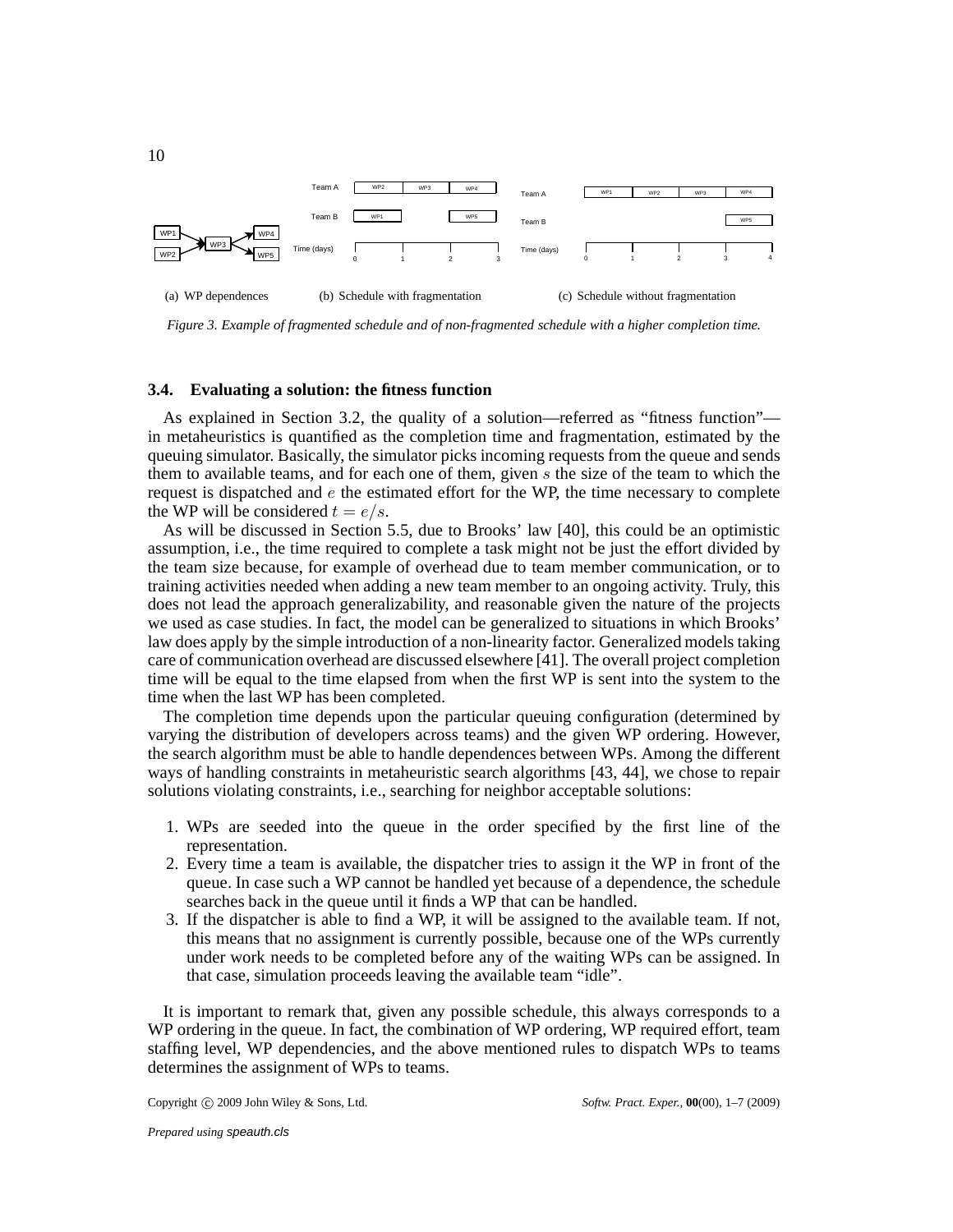

*Figure 3. Example of fragmented schedule and of non-fragmented schedule with a higher completion time.*

## **3.4. Evaluating a solution: the fitness function**

As explained in Section 3.2, the quality of a solution—referred as "fitness function" in metaheuristics is quantified as the completion time and fragmentation, estimated by the queuing simulator. Basically, the simulator picks incoming requests from the queue and sends them to available teams, and for each one of them, given  $s$  the size of the team to which the request is dispatched and  $e$  the estimated effort for the WP, the time necessary to complete the WP will be considered  $t = e/s$ .

As will be discussed in Section 5.5, due to Brooks' law [40], this could be an optimistic assumption, i.e., the time required to complete a task might not be just the effort divided by the team size because, for example of overhead due to team member communication, or to training activities needed when adding a new team member to an ongoing activity. Truly, this does not lead the approach generalizability, and reasonable given the nature of the projects we used as case studies. In fact, the model can be generalized to situations in which Brooks' law does apply by the simple introduction of a non-linearity factor. Generalized models taking care of communication overhead are discussed elsewhere [41]. The overall project completion time will be equal to the time elapsed from when the first WP is sent into the system to the time when the last WP has been completed.

The completion time depends upon the particular queuing configuration (determined by varying the distribution of developers across teams) and the given WP ordering. However, the search algorithm must be able to handle dependences between WPs. Among the different ways of handling constraints in metaheuristic search algorithms [43, 44], we chose to repair solutions violating constraints, i.e., searching for neighbor acceptable solutions:

- 1. WPs are seeded into the queue in the order specified by the first line of the representation.
- 2. Every time a team is available, the dispatcher tries to assign it the WP in front of the queue. In case such a WP cannot be handled yet because of a dependence, the schedule searches back in the queue until it finds a WP that can be handled.
- 3. If the dispatcher is able to find a WP, it will be assigned to the available team. If not, this means that no assignment is currently possible, because one of the WPs currently under work needs to be completed before any of the waiting WPs can be assigned. In that case, simulation proceeds leaving the available team "idle".

It is important to remark that, given any possible schedule, this always corresponds to a WP ordering in the queue. In fact, the combination of WP ordering, WP required effort, team staffing level, WP dependencies, and the above mentioned rules to dispatch WPs to teams determines the assignment of WPs to teams.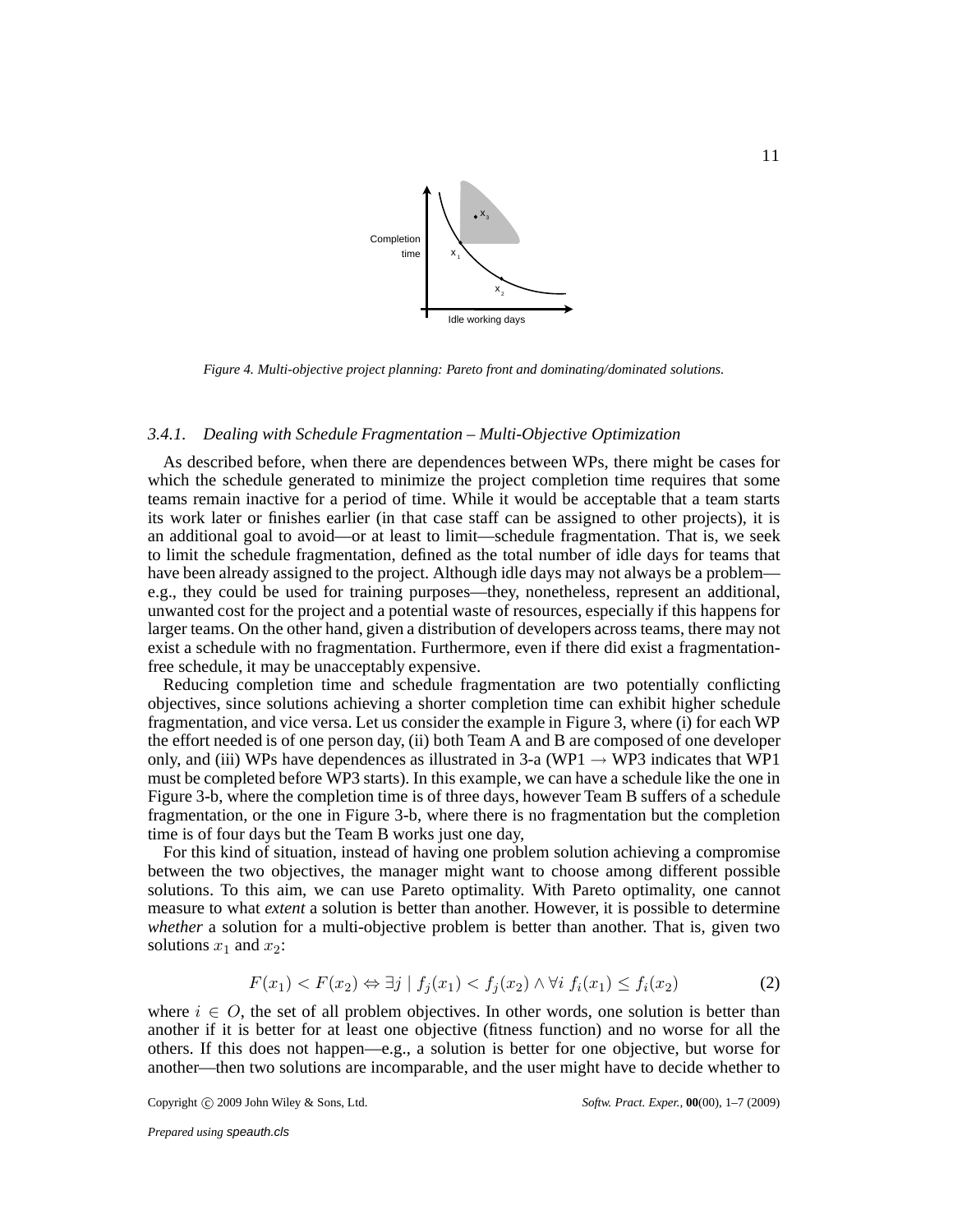

*Figure 4. Multi-objective project planning: Pareto front and dominating/dominated solutions.*

## *3.4.1. Dealing with Schedule Fragmentation – Multi-Objective Optimization*

As described before, when there are dependences between WPs, there might be cases for which the schedule generated to minimize the project completion time requires that some teams remain inactive for a period of time. While it would be acceptable that a team starts its work later or finishes earlier (in that case staff can be assigned to other projects), it is an additional goal to avoid—or at least to limit—schedule fragmentation. That is, we seek to limit the schedule fragmentation, defined as the total number of idle days for teams that have been already assigned to the project. Although idle days may not always be a problem e.g., they could be used for training purposes—they, nonetheless, represent an additional, unwanted cost for the project and a potential waste of resources, especially if this happens for larger teams. On the other hand, given a distribution of developers across teams, there may not exist a schedule with no fragmentation. Furthermore, even if there did exist a fragmentationfree schedule, it may be unacceptably expensive.

Reducing completion time and schedule fragmentation are two potentially conflicting objectives, since solutions achieving a shorter completion time can exhibit higher schedule fragmentation, and vice versa. Let us consider the example in Figure 3, where (i) for each WP the effort needed is of one person day, (ii) both Team A and B are composed of one developer only, and (iii) WPs have dependences as illustrated in 3-a (WP1  $\rightarrow$  WP3 indicates that WP1 must be completed before WP3 starts). In this example, we can have a schedule like the one in Figure 3-b, where the completion time is of three days, however Team B suffers of a schedule fragmentation, or the one in Figure 3-b, where there is no fragmentation but the completion time is of four days but the Team B works just one day,

For this kind of situation, instead of having one problem solution achieving a compromise between the two objectives, the manager might want to choose among different possible solutions. To this aim, we can use Pareto optimality. With Pareto optimality, one cannot measure to what *extent* a solution is better than another. However, it is possible to determine *whether* a solution for a multi-objective problem is better than another. That is, given two solutions  $x_1$  and  $x_2$ :

$$
F(x_1) < F(x_2) \Leftrightarrow \exists j \mid f_j(x_1) < f_j(x_2) \land \forall i \ f_i(x_1) \le f_i(x_2) \tag{2}
$$

where  $i \in O$ , the set of all problem objectives. In other words, one solution is better than another if it is better for at least one objective (fitness function) and no worse for all the others. If this does not happen—e.g., a solution is better for one objective, but worse for another—then two solutions are incomparable, and the user might have to decide whether to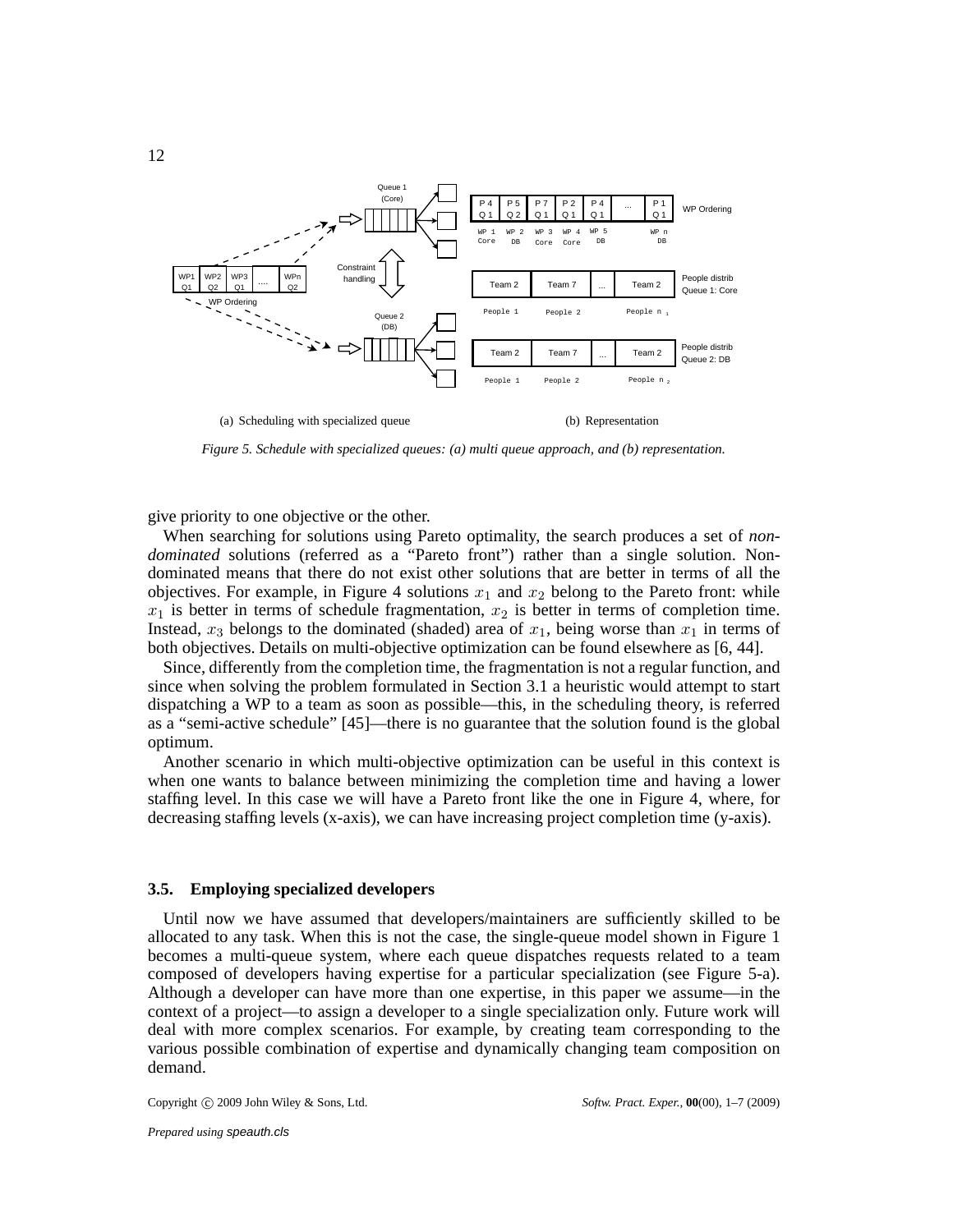

*Figure 5. Schedule with specialized queues: (a) multi queue approach, and (b) representation.*

give priority to one objective or the other.

When searching for solutions using Pareto optimality, the search produces a set of *nondominated* solutions (referred as a "Pareto front") rather than a single solution. Nondominated means that there do not exist other solutions that are better in terms of all the objectives. For example, in Figure 4 solutions  $x_1$  and  $x_2$  belong to the Pareto front: while  $x_1$  is better in terms of schedule fragmentation,  $x_2$  is better in terms of completion time. Instead,  $x_3$  belongs to the dominated (shaded) area of  $x_1$ , being worse than  $x_1$  in terms of both objectives. Details on multi-objective optimization can be found elsewhere as [6, 44].

Since, differently from the completion time, the fragmentation is not a regular function, and since when solving the problem formulated in Section 3.1 a heuristic would attempt to start dispatching a WP to a team as soon as possible—this, in the scheduling theory, is referred as a "semi-active schedule" [45]—there is no guarantee that the solution found is the global optimum.

Another scenario in which multi-objective optimization can be useful in this context is when one wants to balance between minimizing the completion time and having a lower staffing level. In this case we will have a Pareto front like the one in Figure 4, where, for decreasing staffing levels (x-axis), we can have increasing project completion time (y-axis).

## **3.5. Employing specialized developers**

Until now we have assumed that developers/maintainers are sufficiently skilled to be allocated to any task. When this is not the case, the single-queue model shown in Figure 1 becomes a multi-queue system, where each queue dispatches requests related to a team composed of developers having expertise for a particular specialization (see Figure 5-a). Although a developer can have more than one expertise, in this paper we assume—in the context of a project—to assign a developer to a single specialization only. Future work will deal with more complex scenarios. For example, by creating team corresponding to the various possible combination of expertise and dynamically changing team composition on demand.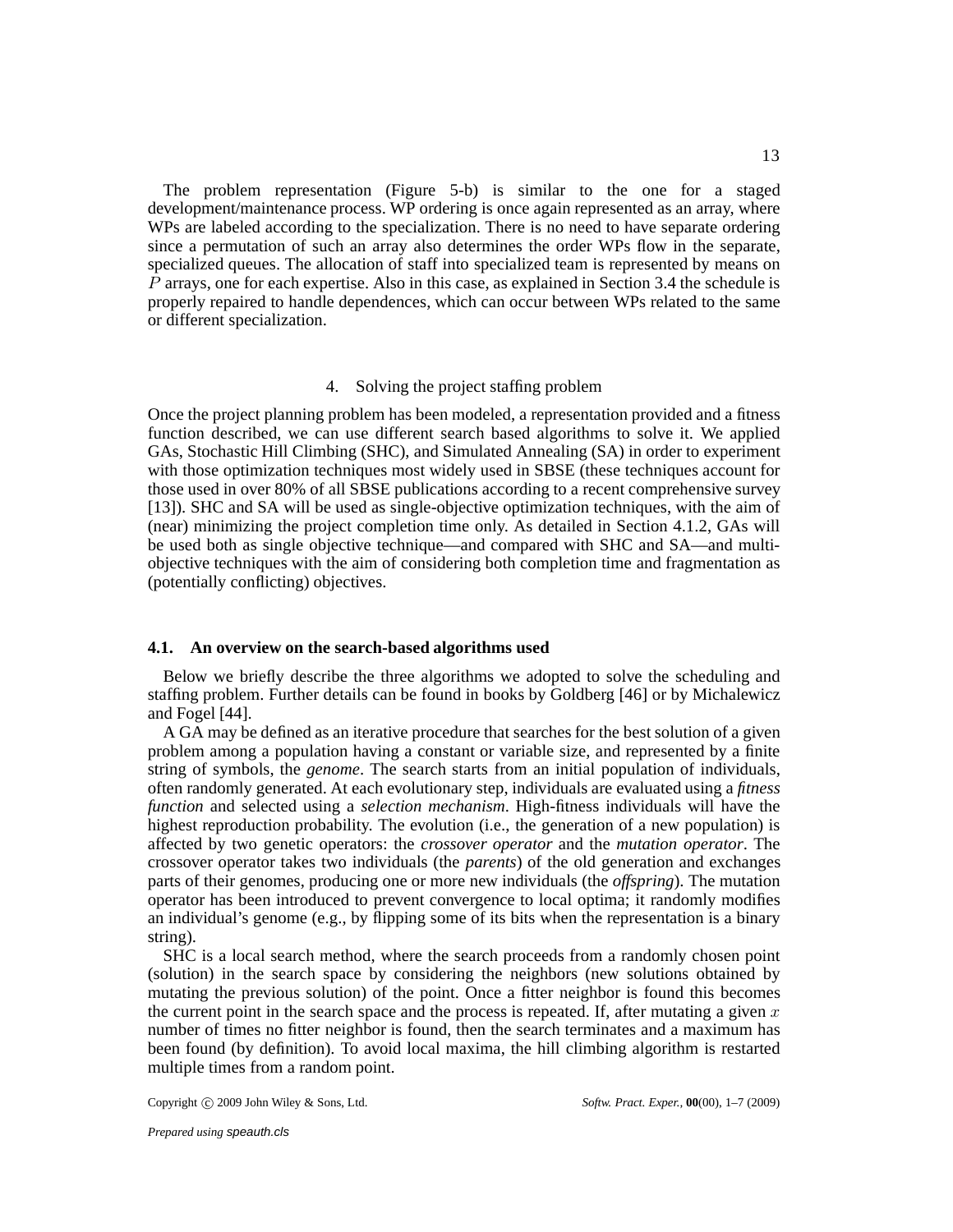The problem representation (Figure 5-b) is similar to the one for a staged development/maintenance process. WP ordering is once again represented as an array, where WPs are labeled according to the specialization. There is no need to have separate ordering since a permutation of such an array also determines the order WPs flow in the separate, specialized queues. The allocation of staff into specialized team is represented by means on P arrays, one for each expertise. Also in this case, as explained in Section 3.4 the schedule is properly repaired to handle dependences, which can occur between WPs related to the same or different specialization.

## 4. Solving the project staffing problem

Once the project planning problem has been modeled, a representation provided and a fitness function described, we can use different search based algorithms to solve it. We applied GAs, Stochastic Hill Climbing (SHC), and Simulated Annealing (SA) in order to experiment with those optimization techniques most widely used in SBSE (these techniques account for those used in over 80% of all SBSE publications according to a recent comprehensive survey [13]). SHC and SA will be used as single-objective optimization techniques, with the aim of (near) minimizing the project completion time only. As detailed in Section 4.1.2, GAs will be used both as single objective technique—and compared with SHC and SA—and multiobjective techniques with the aim of considering both completion time and fragmentation as (potentially conflicting) objectives.

## **4.1. An overview on the search-based algorithms used**

Below we briefly describe the three algorithms we adopted to solve the scheduling and staffing problem. Further details can be found in books by Goldberg [46] or by Michalewicz and Fogel [44].

A GA may be defined as an iterative procedure that searches for the best solution of a given problem among a population having a constant or variable size, and represented by a finite string of symbols, the *genome*. The search starts from an initial population of individuals, often randomly generated. At each evolutionary step, individuals are evaluated using a *fitness function* and selected using a *selection mechanism*. High-fitness individuals will have the highest reproduction probability. The evolution (i.e., the generation of a new population) is affected by two genetic operators: the *crossover operator* and the *mutation operator*. The crossover operator takes two individuals (the *parents*) of the old generation and exchanges parts of their genomes, producing one or more new individuals (the *offspring*). The mutation operator has been introduced to prevent convergence to local optima; it randomly modifies an individual's genome (e.g., by flipping some of its bits when the representation is a binary string).

SHC is a local search method, where the search proceeds from a randomly chosen point (solution) in the search space by considering the neighbors (new solutions obtained by mutating the previous solution) of the point. Once a fitter neighbor is found this becomes the current point in the search space and the process is repeated. If, after mutating a given  $x$ number of times no fitter neighbor is found, then the search terminates and a maximum has been found (by definition). To avoid local maxima, the hill climbing algorithm is restarted multiple times from a random point.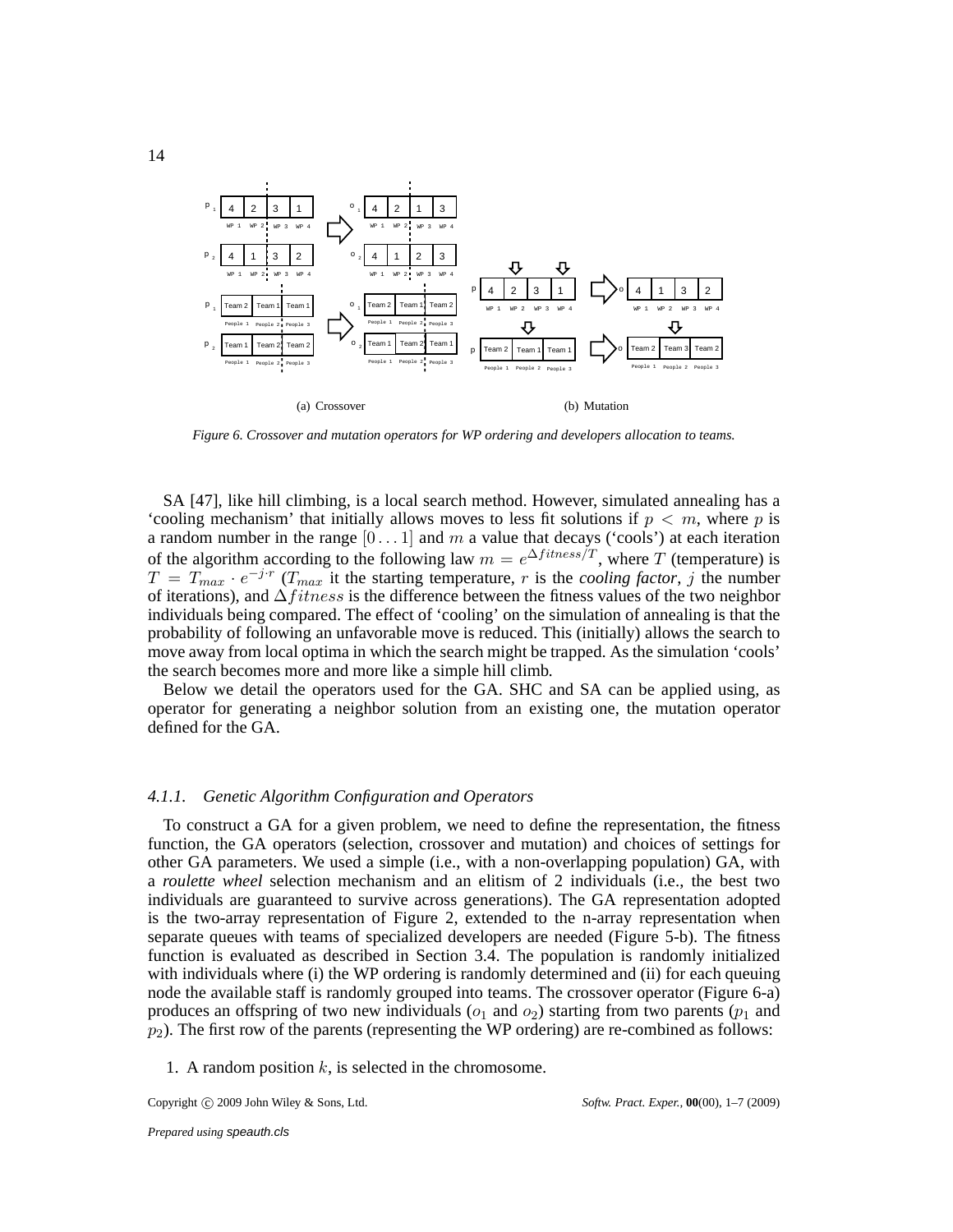

*Figure 6. Crossover and mutation operators for WP ordering and developers allocation to teams.*

SA [47], like hill climbing, is a local search method. However, simulated annealing has a 'cooling mechanism' that initially allows moves to less fit solutions if  $p < m$ , where p is a random number in the range  $[0 \dots 1]$  and m a value that decays ('cools') at each iteration of the algorithm according to the following law  $m = e^{\Delta fithess/T}$ , where T (temperature) is  $T = T_{max} \cdot e^{-j \cdot r}$  ( $T_{max}$  it the starting temperature, r is the *cooling factor*, j the number of iterations), and  $\Delta fitness$  is the difference between the fitness values of the two neighbor individuals being compared. The effect of 'cooling' on the simulation of annealing is that the probability of following an unfavorable move is reduced. This (initially) allows the search to move away from local optima in which the search might be trapped. As the simulation 'cools' the search becomes more and more like a simple hill climb.

Below we detail the operators used for the GA. SHC and SA can be applied using, as operator for generating a neighbor solution from an existing one, the mutation operator defined for the GA.

# *4.1.1. Genetic Algorithm Configuration and Operators*

To construct a GA for a given problem, we need to define the representation, the fitness function, the GA operators (selection, crossover and mutation) and choices of settings for other GA parameters. We used a simple (i.e., with a non-overlapping population) GA, with a *roulette wheel* selection mechanism and an elitism of 2 individuals (i.e., the best two individuals are guaranteed to survive across generations). The GA representation adopted is the two-array representation of Figure 2, extended to the n-array representation when separate queues with teams of specialized developers are needed (Figure 5-b). The fitness function is evaluated as described in Section 3.4. The population is randomly initialized with individuals where (i) the WP ordering is randomly determined and (ii) for each queuing node the available staff is randomly grouped into teams. The crossover operator (Figure 6-a) produces an offspring of two new individuals ( $o_1$  and  $o_2$ ) starting from two parents ( $p_1$  and  $p<sub>2</sub>$ ). The first row of the parents (representing the WP ordering) are re-combined as follows:

1. A random position  $k$ , is selected in the chromosome.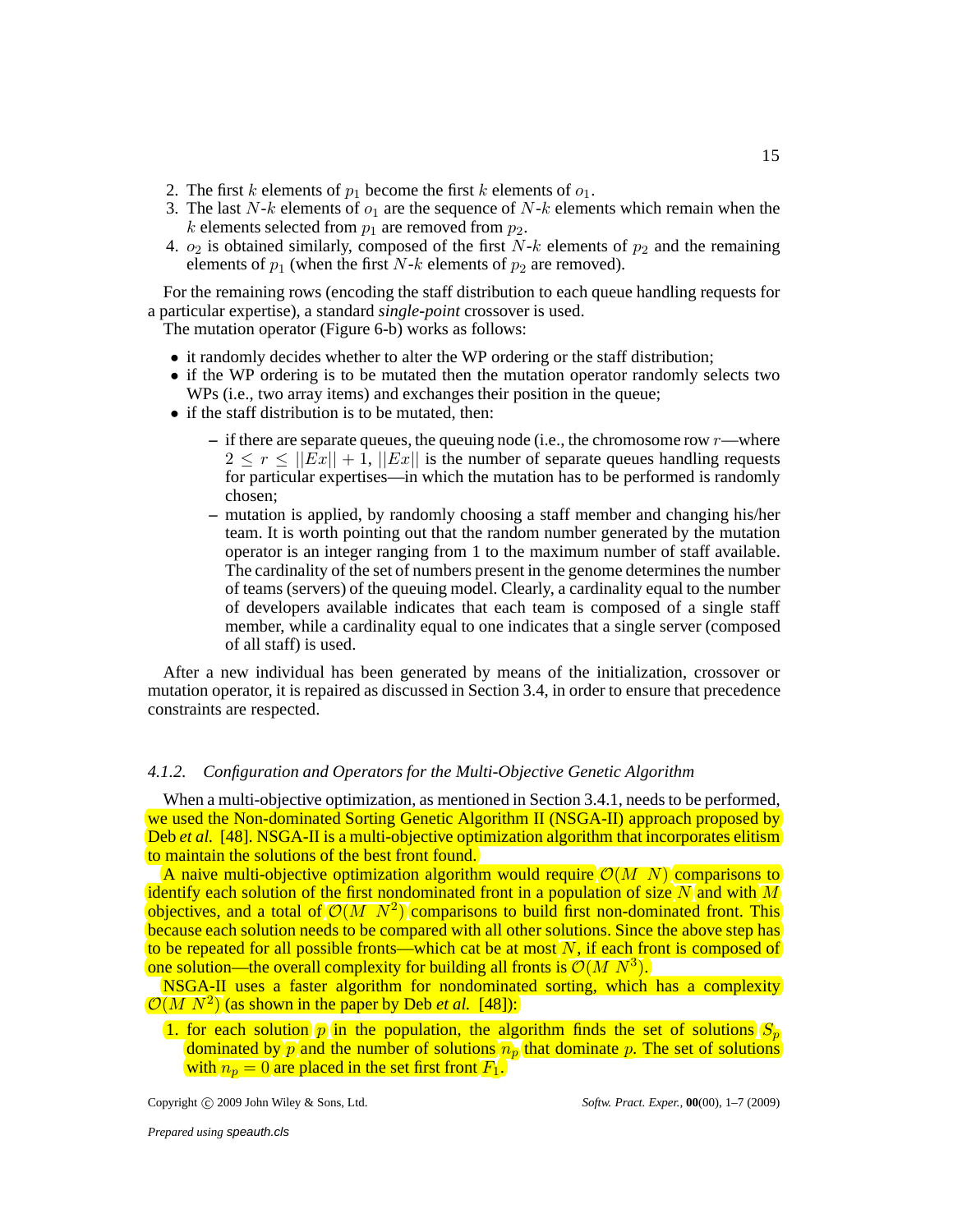- 2. The first k elements of  $p_1$  become the first k elements of  $o_1$ .
- 3. The last  $N-k$  elements of  $o_1$  are the sequence of  $N-k$  elements which remain when the k elements selected from  $p_1$  are removed from  $p_2$ .
- 4.  $o_2$  is obtained similarly, composed of the first  $N-k$  elements of  $p_2$  and the remaining elements of  $p_1$  (when the first N-k elements of  $p_2$  are removed).

For the remaining rows (encoding the staff distribution to each queue handling requests for a particular expertise), a standard *single-point* crossover is used.

The mutation operator (Figure 6-b) works as follows:

- it randomly decides whether to alter the WP ordering or the staff distribution;
- if the WP ordering is to be mutated then the mutation operator randomly selects two WPs (i.e., two array items) and exchanges their position in the queue;
- if the staff distribution is to be mutated, then:
	- **–** if there are separate queues, the queuing node (i.e., the chromosome row r—where  $2 \leq r \leq ||Ex|| + 1$ ,  $||Ex||$  is the number of separate queues handling requests for particular expertises—in which the mutation has to be performed is randomly chosen;
	- **–** mutation is applied, by randomly choosing a staff member and changing his/her team. It is worth pointing out that the random number generated by the mutation operator is an integer ranging from 1 to the maximum number of staff available. The cardinality of the set of numbers present in the genome determines the number of teams (servers) of the queuing model. Clearly, a cardinality equal to the number of developers available indicates that each team is composed of a single staff member, while a cardinality equal to one indicates that a single server (composed of all staff) is used.

After a new individual has been generated by means of the initialization, crossover or mutation operator, it is repaired as discussed in Section 3.4, in order to ensure that precedence constraints are respected.

# *4.1.2. Configuration and Operators for the Multi-Objective Genetic Algorithm*

When a multi-objective optimization, as mentioned in Section 3.4.1, needs to be performed, we used the Non-dominated Sorting Genetic Algorithm II (NSGA-II) approach proposed by Deb *et al.* [48]. NSGA-II is a multi-objective optimization algorithm that incorporates elitism to maintain the solutions of the best front found.

A naive multi-objective optimization algorithm would require  $\mathcal{O}(M/N)$  comparisons to identify each solution of the first nondominated front in a population of size  $\overline{N}$  and with  $\overline{M}$ objectives, and a total of  $\mathcal{O}(M/N^2)$  comparisons to build first non-dominated front. This because each solution needs to be compared with all other solutions. Since the above step has to be repeated for all possible fronts—which cat be at most  $N$ , if each front is composed of one solution—the overall complexity for building all fronts is  $\mathcal{O}(M N^3)$ .

NSGA-II uses a faster algorithm for nondominated sorting, which has a complexity  $\mathcal{O}(M\ N^2)$  (as shown in the paper by Deb *et al.* [48]):

1. for each solution p in the population, the algorithm finds the set of solutions  $S_p$ dominated by p and the number of solutions  $n_p$  that dominate p. The set of solutions with  $n_p = 0$  are placed in the set first front  $F_1$ .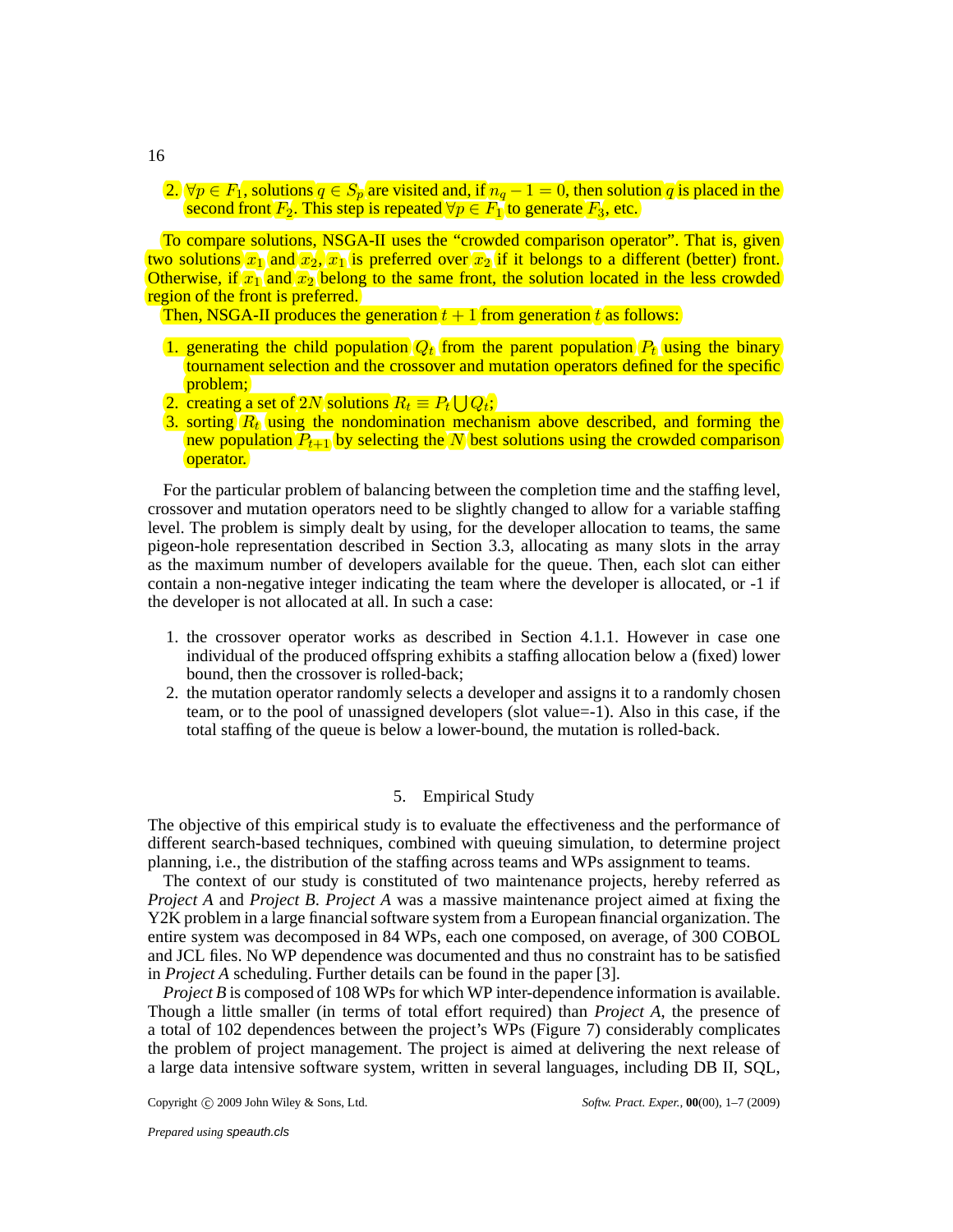2.  $\forall p \in F_1$ , solutions  $q \in S_p$  are visited and, if  $n_q - 1 = 0$ , then solution q is placed in the second front  $F_2$ . This step is repeated  $\forall p \in F_1$  to generate  $F_3$ , etc.

To compare solutions, NSGA-II uses the "crowded comparison operator". That is, given two solutions  $x_1$  and  $x_2$ ,  $x_1$  is preferred over  $x_2$  if it belongs to a different (better) front. Otherwise, if  $x_1$  and  $x_2$  belong to the same front, the solution located in the less crowded region of the front is preferred.

Then, NSGA-II produces the generation  $t + 1$  from generation t as follows:

- 1. generating the child population  $Q_t$  from the parent population  $P_t$  using the binary tournament selection and the crossover and mutation operators defined for the specific problem;
- 2. creating a set of 2N solutions  $R_t \equiv P_t \bigcup Q_t$ ;
- 3. sorting  $R_t$  using the nondomination mechanism above described, and forming the new population  $P_{t+1}$  by selecting the N best solutions using the crowded comparison operator.

For the particular problem of balancing between the completion time and the staffing level, crossover and mutation operators need to be slightly changed to allow for a variable staffing level. The problem is simply dealt by using, for the developer allocation to teams, the same pigeon-hole representation described in Section 3.3, allocating as many slots in the array as the maximum number of developers available for the queue. Then, each slot can either contain a non-negative integer indicating the team where the developer is allocated, or -1 if the developer is not allocated at all. In such a case:

- 1. the crossover operator works as described in Section 4.1.1. However in case one individual of the produced offspring exhibits a staffing allocation below a (fixed) lower bound, then the crossover is rolled-back;
- 2. the mutation operator randomly selects a developer and assigns it to a randomly chosen team, or to the pool of unassigned developers (slot value=-1). Also in this case, if the total staffing of the queue is below a lower-bound, the mutation is rolled-back.

# 5. Empirical Study

The objective of this empirical study is to evaluate the effectiveness and the performance of different search-based techniques, combined with queuing simulation, to determine project planning, i.e., the distribution of the staffing across teams and WPs assignment to teams.

The context of our study is constituted of two maintenance projects, hereby referred as *Project A* and *Project B*. *Project A* was a massive maintenance project aimed at fixing the Y2K problem in a large financial software system from a European financial organization. The entire system was decomposed in 84 WPs, each one composed, on average, of 300 COBOL and JCL files. No WP dependence was documented and thus no constraint has to be satisfied in *Project A* scheduling. Further details can be found in the paper [3].

*Project B* is composed of 108 WPs for which WP inter-dependence information is available. Though a little smaller (in terms of total effort required) than *Project A*, the presence of a total of 102 dependences between the project's WPs (Figure 7) considerably complicates the problem of project management. The project is aimed at delivering the next release of a large data intensive software system, written in several languages, including DB II, SQL,

16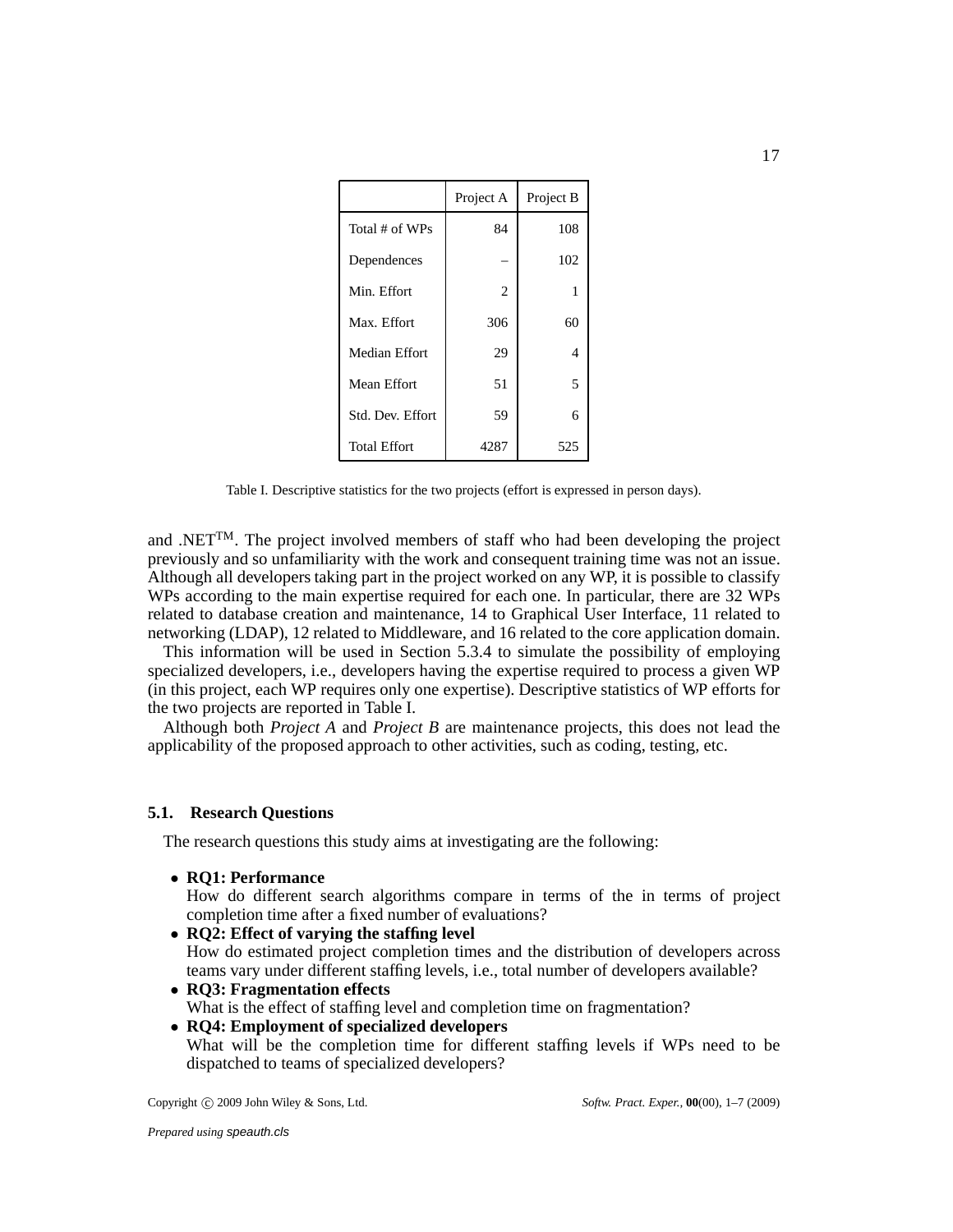|                     | Project A      | Project B |
|---------------------|----------------|-----------|
| Total # of WPs      | 84             | 108       |
| Dependences         |                | 102       |
| Min. Effort         | $\overline{2}$ | 1         |
| Max. Effort         | 306            | 60        |
| Median Effort       | 29             | 4         |
| Mean Effort         | 51             | 5         |
| Std. Dev. Effort    | 59             | 6         |
| <b>Total Effort</b> | 4287           | 525       |

Table I. Descriptive statistics for the two projects (effort is expressed in person days).

and .NETTM. The project involved members of staff who had been developing the project previously and so unfamiliarity with the work and consequent training time was not an issue. Although all developers taking part in the project worked on any WP, it is possible to classify WPs according to the main expertise required for each one. In particular, there are 32 WPs related to database creation and maintenance, 14 to Graphical User Interface, 11 related to networking (LDAP), 12 related to Middleware, and 16 related to the core application domain.

This information will be used in Section 5.3.4 to simulate the possibility of employing specialized developers, i.e., developers having the expertise required to process a given WP (in this project, each WP requires only one expertise). Descriptive statistics of WP efforts for the two projects are reported in Table I.

Although both *Project A* and *Project B* are maintenance projects, this does not lead the applicability of the proposed approach to other activities, such as coding, testing, etc.

## **5.1. Research Questions**

The research questions this study aims at investigating are the following:

• **RQ1: Performance**

How do different search algorithms compare in terms of the in terms of project completion time after a fixed number of evaluations?

- **RQ2: Effect of varying the staffing level** How do estimated project completion times and the distribution of developers across teams vary under different staffing levels, i.e., total number of developers available?
- **RQ3: Fragmentation effects** What is the effect of staffing level and completion time on fragmentation?
- **RQ4: Employment of specialized developers** What will be the completion time for different staffing levels if WPs need to be dispatched to teams of specialized developers?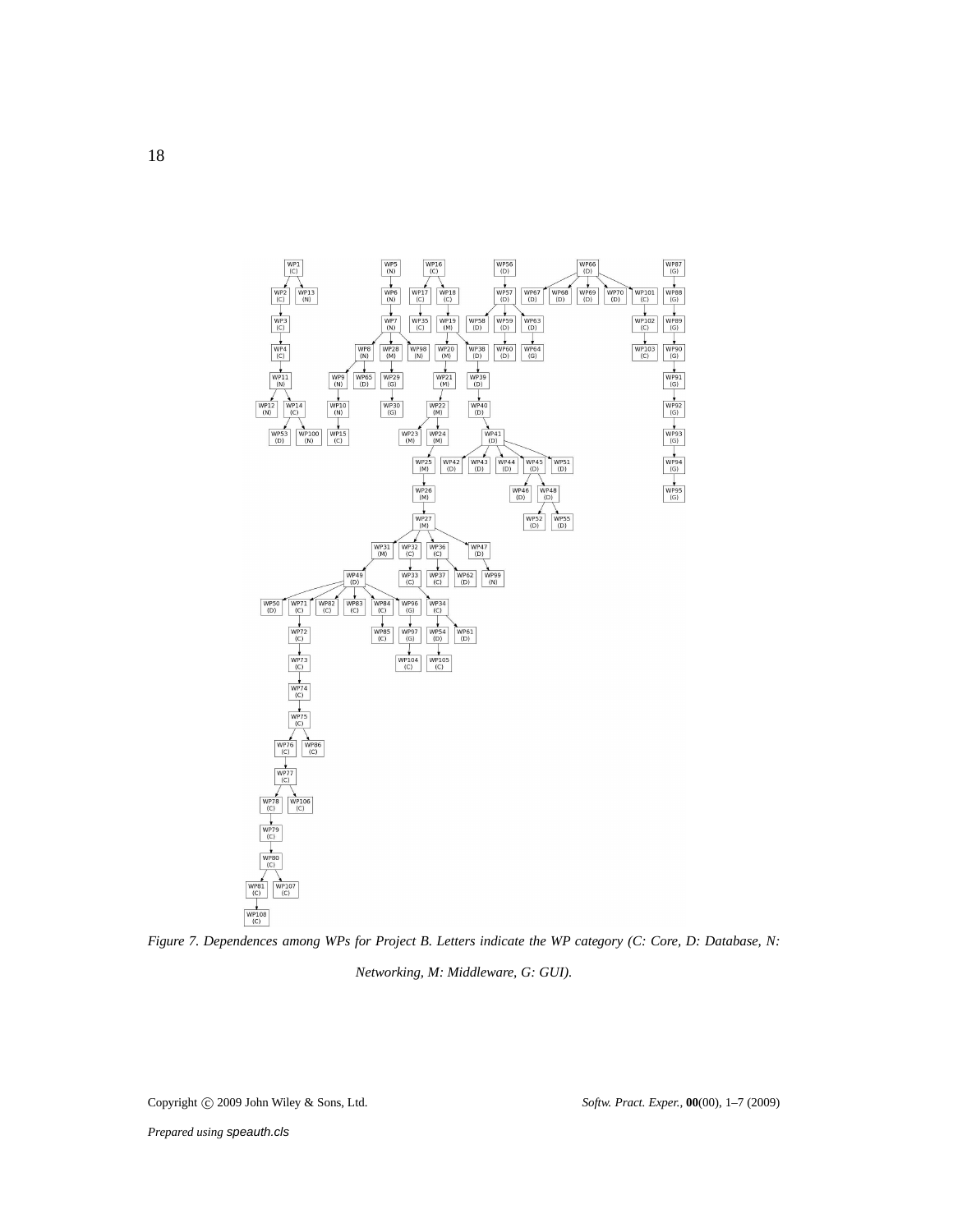

*Networking, M: Middleware, G: GUI).*

Copyright © 2009 John Wiley & Sons, Ltd. *Softw. Pract. Exper.*, 00(00), 1-7 (2009)

*Prepared using* speauth.cls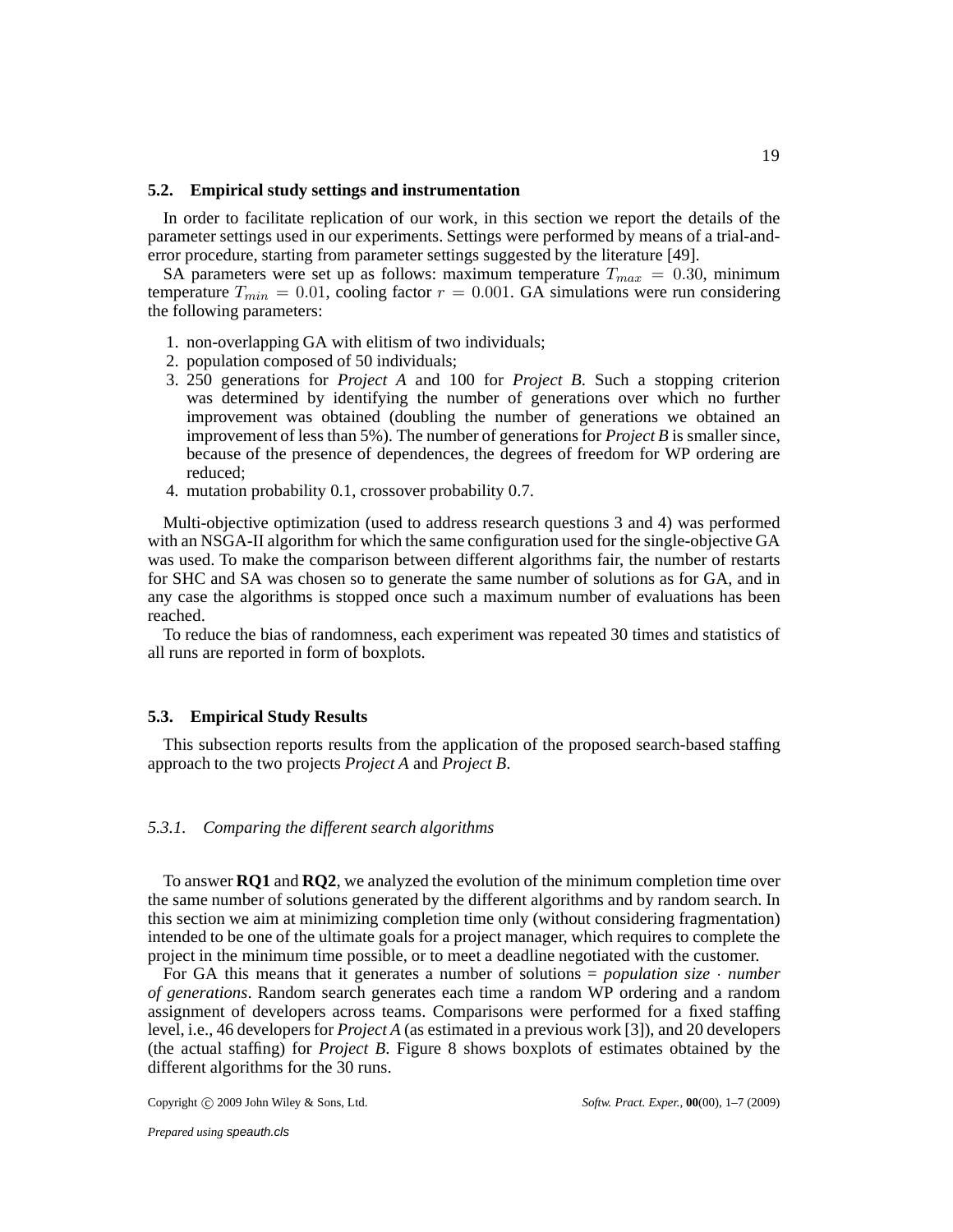## **5.2. Empirical study settings and instrumentation**

In order to facilitate replication of our work, in this section we report the details of the parameter settings used in our experiments. Settings were performed by means of a trial-anderror procedure, starting from parameter settings suggested by the literature [49].

SA parameters were set up as follows: maximum temperature  $T_{max} = 0.30$ , minimum temperature  $T_{min} = 0.01$ , cooling factor  $r = 0.001$ . GA simulations were run considering the following parameters:

- 1. non-overlapping GA with elitism of two individuals;
- 2. population composed of 50 individuals;
- 3. 250 generations for *Project A* and 100 for *Project B*. Such a stopping criterion was determined by identifying the number of generations over which no further improvement was obtained (doubling the number of generations we obtained an improvement of less than 5%). The number of generations for *Project B* is smaller since, because of the presence of dependences, the degrees of freedom for WP ordering are reduced;
- 4. mutation probability 0.1, crossover probability 0.7.

Multi-objective optimization (used to address research questions 3 and 4) was performed with an NSGA-II algorithm for which the same configuration used for the single-objective GA was used. To make the comparison between different algorithms fair, the number of restarts for SHC and SA was chosen so to generate the same number of solutions as for GA, and in any case the algorithms is stopped once such a maximum number of evaluations has been reached.

To reduce the bias of randomness, each experiment was repeated 30 times and statistics of all runs are reported in form of boxplots.

## **5.3. Empirical Study Results**

This subsection reports results from the application of the proposed search-based staffing approach to the two projects *Project A* and *Project B*.

#### *5.3.1. Comparing the different search algorithms*

To answer **RQ1** and **RQ2**, we analyzed the evolution of the minimum completion time over the same number of solutions generated by the different algorithms and by random search. In this section we aim at minimizing completion time only (without considering fragmentation) intended to be one of the ultimate goals for a project manager, which requires to complete the project in the minimum time possible, or to meet a deadline negotiated with the customer.

For GA this means that it generates a number of solutions = *population size* · *number of generations*. Random search generates each time a random WP ordering and a random assignment of developers across teams. Comparisons were performed for a fixed staffing level, i.e., 46 developers for *Project A* (as estimated in a previous work [3]), and 20 developers (the actual staffing) for *Project B*. Figure 8 shows boxplots of estimates obtained by the different algorithms for the 30 runs.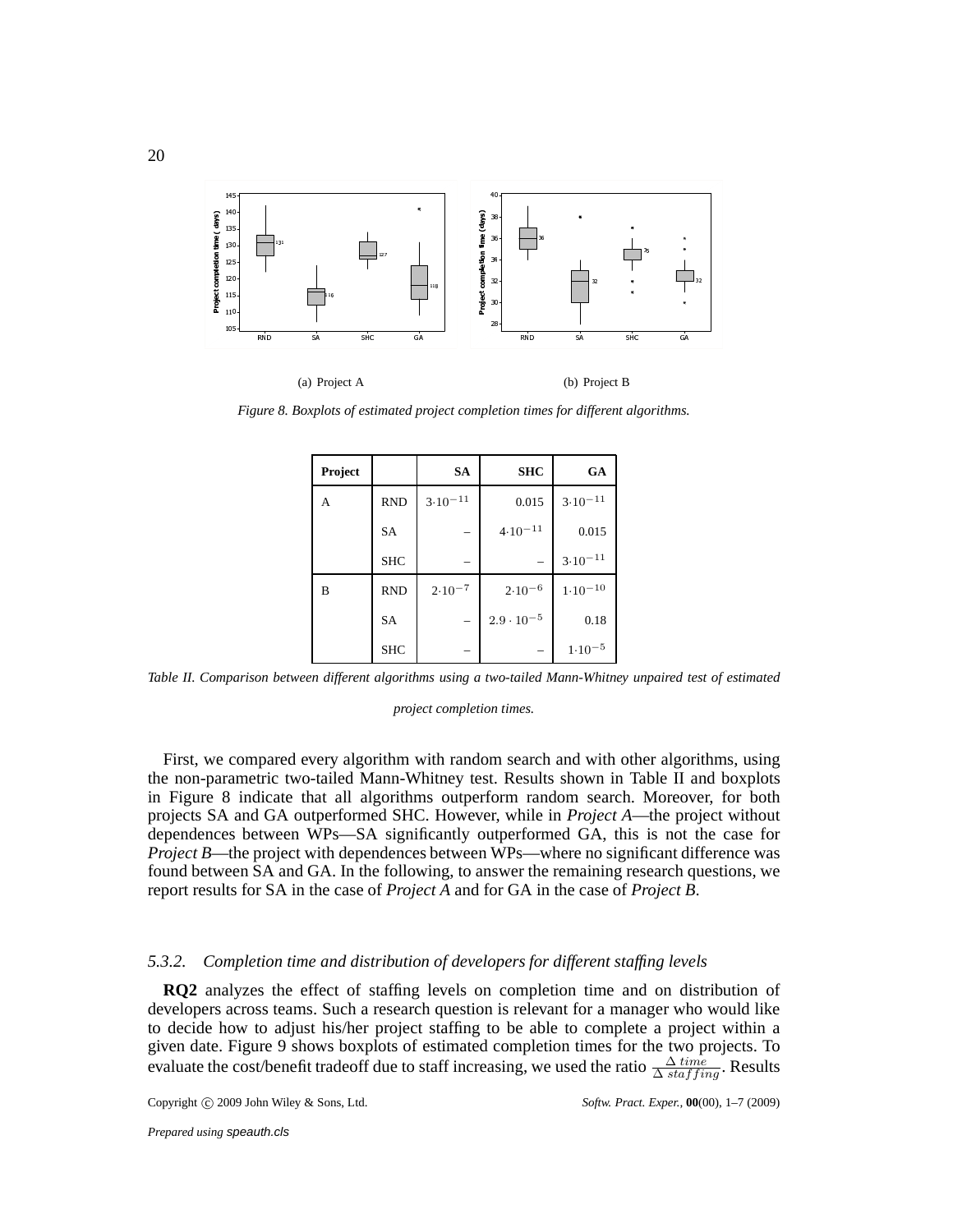

*Figure 8. Boxplots of estimated project completion times for different algorithms.*

| <b>Project</b> |            | <b>SA</b>    | <b>SHC</b>          | GA                 |
|----------------|------------|--------------|---------------------|--------------------|
| A              | <b>RND</b> | $3.10^{-11}$ | 0.015               | $3.10^{-11}$       |
|                | SA         |              | $4.10^{-11}$        | 0.015              |
|                | <b>SHC</b> |              |                     | $3 \cdot 10^{-11}$ |
| B              | <b>RND</b> | $2.10^{-7}$  | $2.10^{-6}$         | $1 \cdot 10^{-10}$ |
|                | SA         |              | $2.9 \cdot 10^{-5}$ | 0.18               |
|                | <b>SHC</b> |              |                     | $1.10^{-5}$        |

*Table II. Comparison between different algorithms using a two-tailed Mann-Whitney unpaired test of estimated*

#### *project completion times.*

First, we compared every algorithm with random search and with other algorithms, using the non-parametric two-tailed Mann-Whitney test. Results shown in Table II and boxplots in Figure 8 indicate that all algorithms outperform random search. Moreover, for both projects SA and GA outperformed SHC. However, while in *Project A*—the project without dependences between WPs—SA significantly outperformed GA, this is not the case for *Project B*—the project with dependences between WPs—where no significant difference was found between SA and GA. In the following, to answer the remaining research questions, we report results for SA in the case of *Project A* and for GA in the case of *Project B*.

## *5.3.2. Completion time and distribution of developers for different staffing levels*

**RQ2** analyzes the effect of staffing levels on completion time and on distribution of developers across teams. Such a research question is relevant for a manager who would like to decide how to adjust his/her project staffing to be able to complete a project within a given date. Figure 9 shows boxplots of estimated completion times for the two projects. To evaluate the cost/benefit tradeoff due to staff increasing, we used the ratio  $\frac{\Delta \text{ time}}{\Delta \text{ staffing}}$ . Results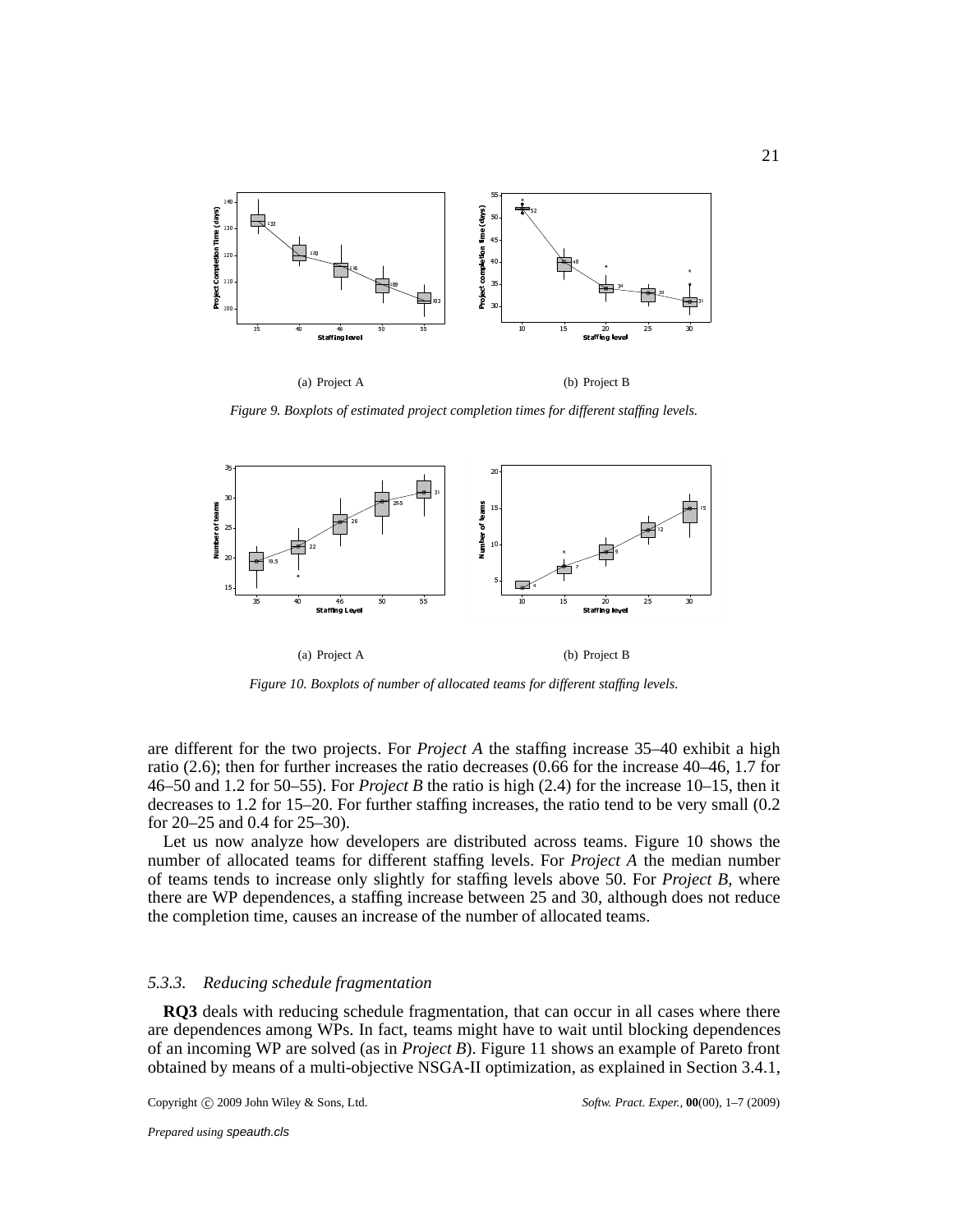

*Figure 9. Boxplots of estimated project completion times for different staffing levels.*



*Figure 10. Boxplots of number of allocated teams for different staffing levels.*

are different for the two projects. For *Project A* the staffing increase 35–40 exhibit a high ratio (2.6); then for further increases the ratio decreases (0.66 for the increase 40–46, 1.7 for 46–50 and 1.2 for 50–55). For *Project B* the ratio is high (2.4) for the increase 10–15, then it decreases to 1.2 for 15–20. For further staffing increases, the ratio tend to be very small (0.2 for 20–25 and 0.4 for 25–30).

Let us now analyze how developers are distributed across teams. Figure 10 shows the number of allocated teams for different staffing levels. For *Project A* the median number of teams tends to increase only slightly for staffing levels above 50. For *Project B*, where there are WP dependences, a staffing increase between 25 and 30, although does not reduce the completion time, causes an increase of the number of allocated teams.

## *5.3.3. Reducing schedule fragmentation*

**RQ3** deals with reducing schedule fragmentation, that can occur in all cases where there are dependences among WPs. In fact, teams might have to wait until blocking dependences of an incoming WP are solved (as in *Project B*). Figure 11 shows an example of Pareto front obtained by means of a multi-objective NSGA-II optimization, as explained in Section 3.4.1,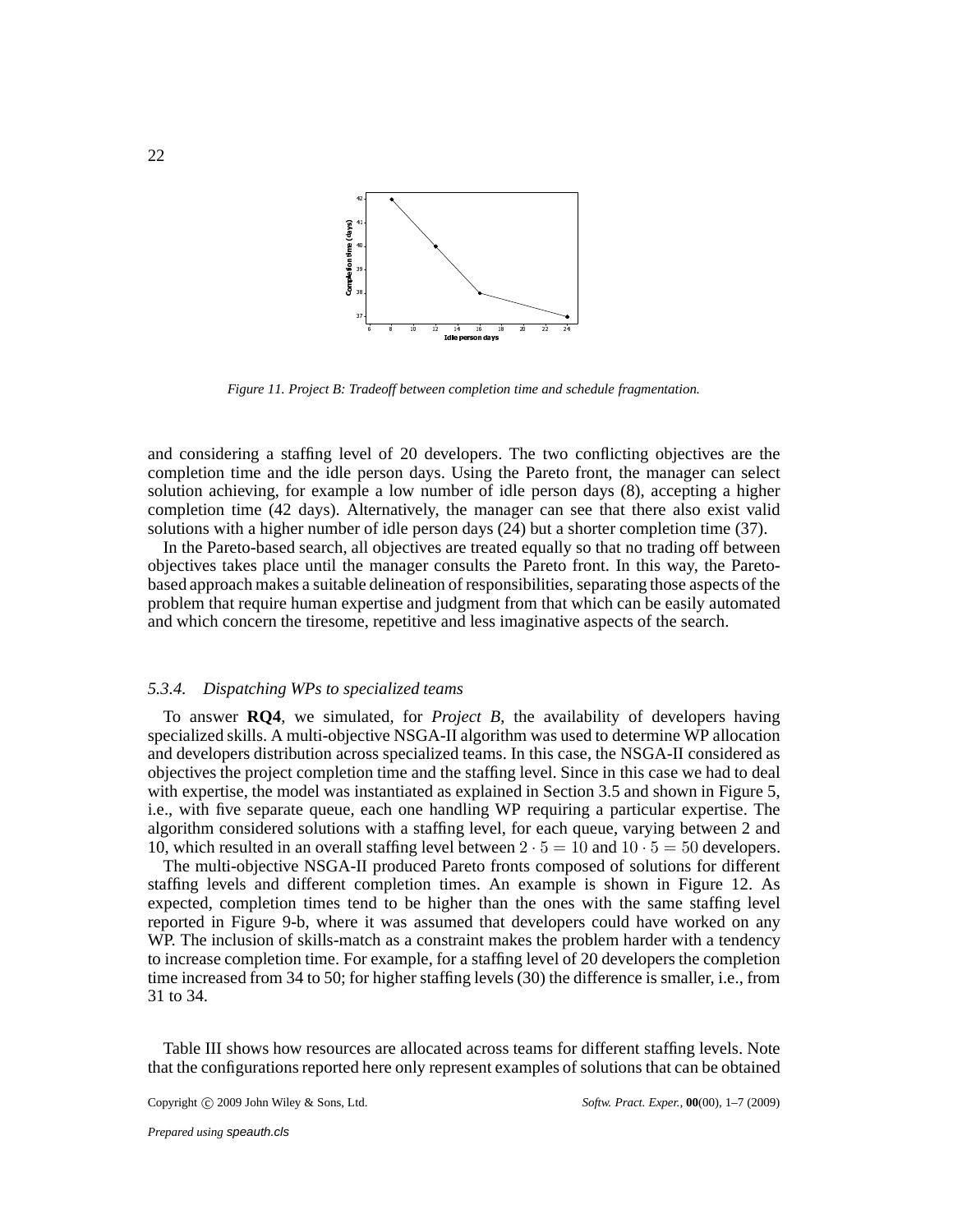

*Figure 11. Project B: Tradeoff between completion time and schedule fragmentation.*

and considering a staffing level of 20 developers. The two conflicting objectives are the completion time and the idle person days. Using the Pareto front, the manager can select solution achieving, for example a low number of idle person days (8), accepting a higher completion time (42 days). Alternatively, the manager can see that there also exist valid solutions with a higher number of idle person days (24) but a shorter completion time (37).

In the Pareto-based search, all objectives are treated equally so that no trading off between objectives takes place until the manager consults the Pareto front. In this way, the Paretobased approach makes a suitable delineation of responsibilities, separating those aspects of the problem that require human expertise and judgment from that which can be easily automated and which concern the tiresome, repetitive and less imaginative aspects of the search.

#### *5.3.4. Dispatching WPs to specialized teams*

22

To answer **RQ4**, we simulated, for *Project B*, the availability of developers having specialized skills. A multi-objective NSGA-II algorithm was used to determine WP allocation and developers distribution across specialized teams. In this case, the NSGA-II considered as objectives the project completion time and the staffing level. Since in this case we had to deal with expertise, the model was instantiated as explained in Section 3.5 and shown in Figure 5, i.e., with five separate queue, each one handling WP requiring a particular expertise. The algorithm considered solutions with a staffing level, for each queue, varying between 2 and 10, which resulted in an overall staffing level between  $2 \cdot 5 = 10$  and  $10 \cdot 5 = 50$  developers.

The multi-objective NSGA-II produced Pareto fronts composed of solutions for different staffing levels and different completion times. An example is shown in Figure 12. As expected, completion times tend to be higher than the ones with the same staffing level reported in Figure 9-b, where it was assumed that developers could have worked on any WP. The inclusion of skills-match as a constraint makes the problem harder with a tendency to increase completion time. For example, for a staffing level of 20 developers the completion time increased from 34 to 50; for higher staffing levels (30) the difference is smaller, i.e., from 31 to 34.

Table III shows how resources are allocated across teams for different staffing levels. Note that the configurations reported here only represent examples of solutions that can be obtained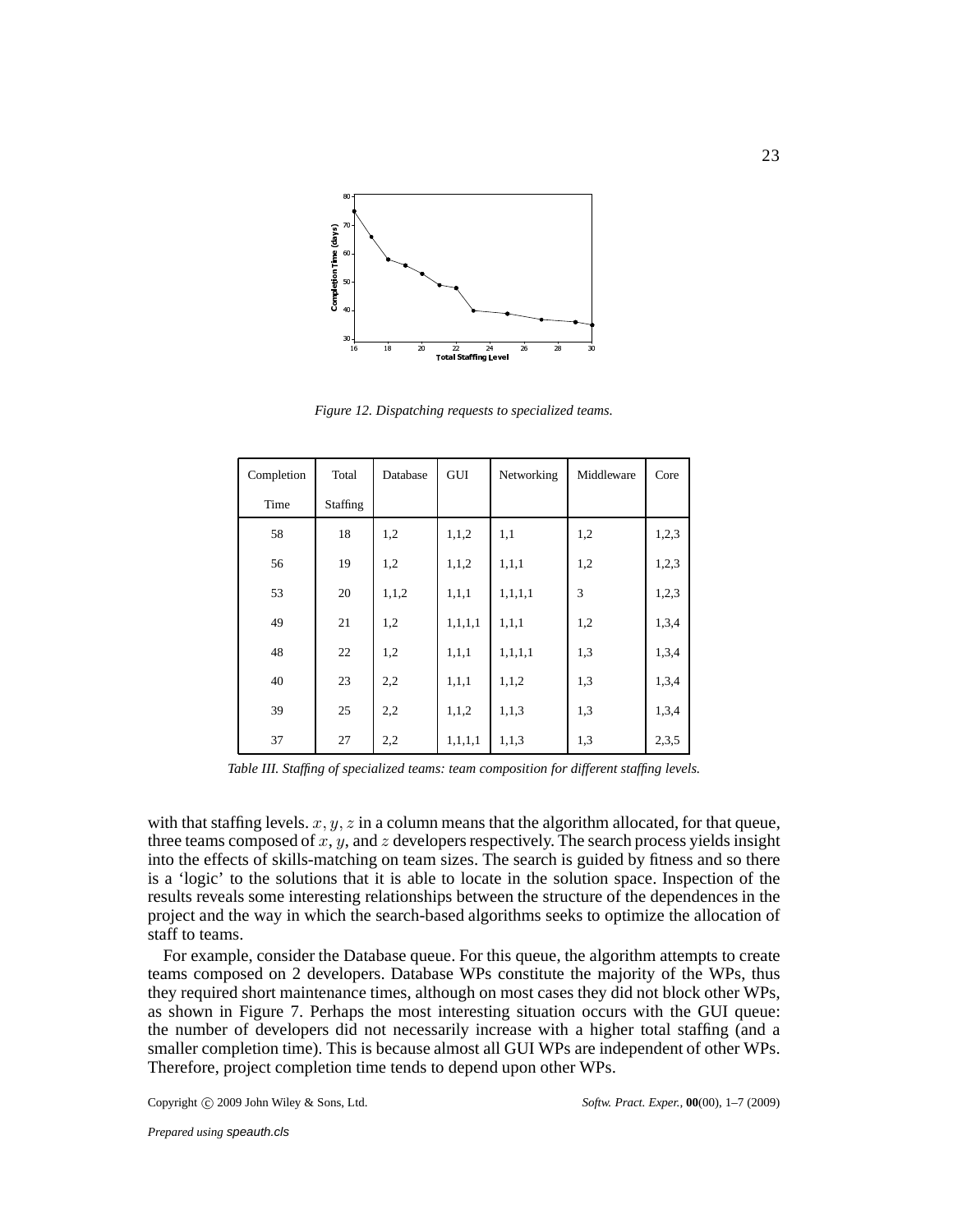

*Figure 12. Dispatching requests to specialized teams.*

| Completion | Total    | Database | GUI        | Networking | Middleware | Core  |
|------------|----------|----------|------------|------------|------------|-------|
| Time       | Staffing |          |            |            |            |       |
| 58         | 18       | 1,2      | 1,1,2      | 1,1        | 1,2        | 1,2,3 |
| 56         | 19       | 1,2      | 1, 1, 2    | 1, 1, 1    | 1,2        | 1,2,3 |
| 53         | 20       | 1, 1, 2  | 1, 1, 1    | 1, 1, 1, 1 | 3          | 1,2,3 |
| 49         | 21       | 1,2      | 1, 1, 1, 1 | 1, 1, 1    | 1,2        | 1,3,4 |
| 48         | 22       | 1,2      | 1, 1, 1    | 1, 1, 1, 1 | 1,3        | 1,3,4 |
| 40         | 23       | 2,2      | 1, 1, 1    | 1, 1, 2    | 1,3        | 1,3,4 |
| 39         | 25       | 2,2      | 1,1,2      | 1, 1, 3    | 1,3        | 1,3,4 |
| 37         | 27       | 2,2      | 1, 1, 1, 1 | 1, 1, 3    | 1,3        | 2,3,5 |

*Table III. Staffing of specialized teams: team composition for different staffing levels.*

with that staffing levels.  $x, y, z$  in a column means that the algorithm allocated, for that queue, three teams composed of  $x, y$ , and  $z$  developers respectively. The search process yields insight into the effects of skills-matching on team sizes. The search is guided by fitness and so there is a 'logic' to the solutions that it is able to locate in the solution space. Inspection of the results reveals some interesting relationships between the structure of the dependences in the project and the way in which the search-based algorithms seeks to optimize the allocation of staff to teams.

For example, consider the Database queue. For this queue, the algorithm attempts to create teams composed on 2 developers. Database WPs constitute the majority of the WPs, thus they required short maintenance times, although on most cases they did not block other WPs, as shown in Figure 7. Perhaps the most interesting situation occurs with the GUI queue: the number of developers did not necessarily increase with a higher total staffing (and a smaller completion time). This is because almost all GUI WPs are independent of other WPs. Therefore, project completion time tends to depend upon other WPs.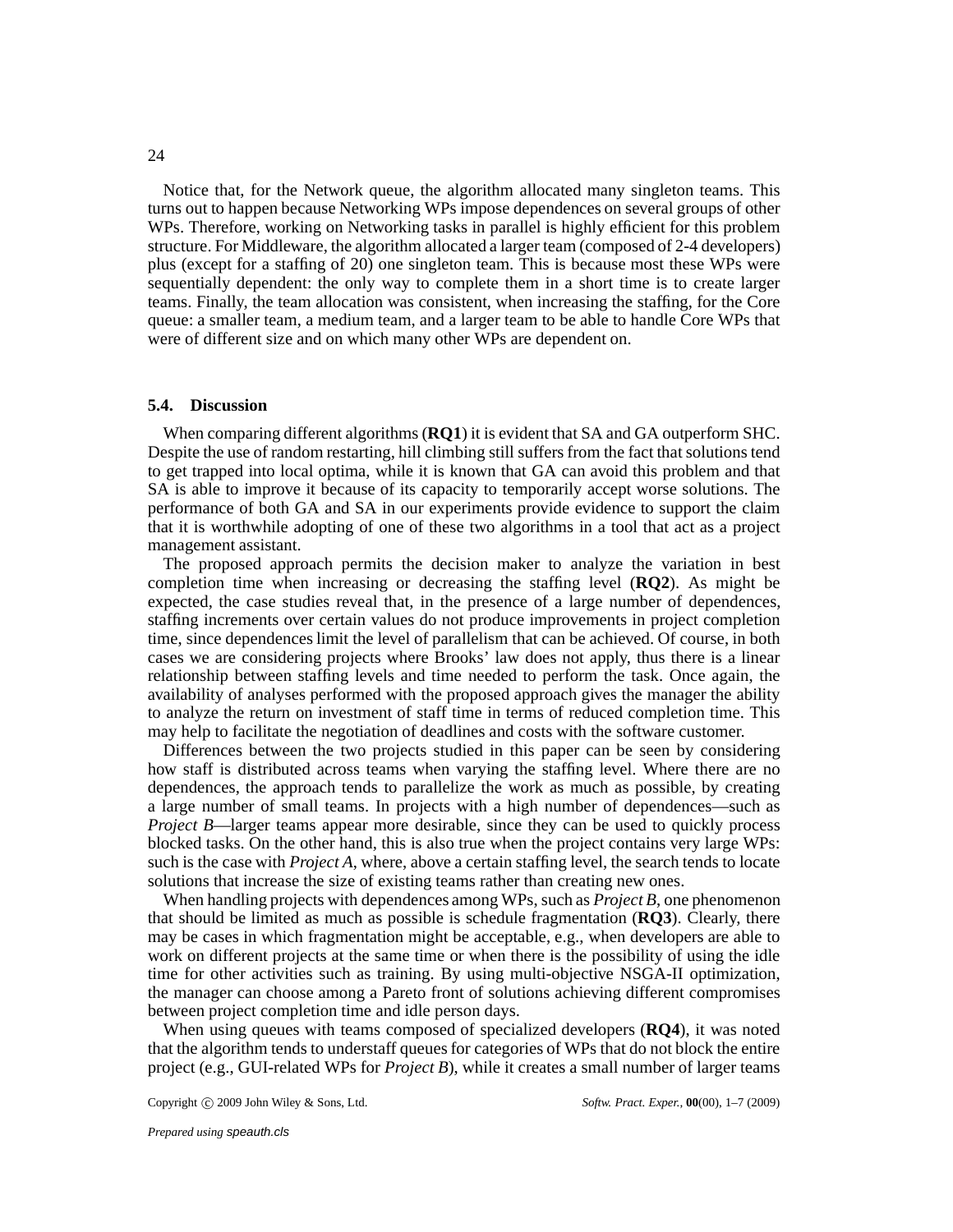Notice that, for the Network queue, the algorithm allocated many singleton teams. This turns out to happen because Networking WPs impose dependences on several groups of other WPs. Therefore, working on Networking tasks in parallel is highly efficient for this problem structure. For Middleware, the algorithm allocated a larger team (composed of 2-4 developers) plus (except for a staffing of 20) one singleton team. This is because most these WPs were sequentially dependent: the only way to complete them in a short time is to create larger teams. Finally, the team allocation was consistent, when increasing the staffing, for the Core queue: a smaller team, a medium team, and a larger team to be able to handle Core WPs that were of different size and on which many other WPs are dependent on.

## **5.4. Discussion**

When comparing different algorithms (**RQ1**) it is evident that SA and GA outperform SHC. Despite the use of random restarting, hill climbing still suffers from the fact that solutions tend to get trapped into local optima, while it is known that GA can avoid this problem and that SA is able to improve it because of its capacity to temporarily accept worse solutions. The performance of both GA and SA in our experiments provide evidence to support the claim that it is worthwhile adopting of one of these two algorithms in a tool that act as a project management assistant.

The proposed approach permits the decision maker to analyze the variation in best completion time when increasing or decreasing the staffing level (**RQ2**). As might be expected, the case studies reveal that, in the presence of a large number of dependences, staffing increments over certain values do not produce improvements in project completion time, since dependences limit the level of parallelism that can be achieved. Of course, in both cases we are considering projects where Brooks' law does not apply, thus there is a linear relationship between staffing levels and time needed to perform the task. Once again, the availability of analyses performed with the proposed approach gives the manager the ability to analyze the return on investment of staff time in terms of reduced completion time. This may help to facilitate the negotiation of deadlines and costs with the software customer.

Differences between the two projects studied in this paper can be seen by considering how staff is distributed across teams when varying the staffing level. Where there are no dependences, the approach tends to parallelize the work as much as possible, by creating a large number of small teams. In projects with a high number of dependences—such as *Project B*—larger teams appear more desirable, since they can be used to quickly process blocked tasks. On the other hand, this is also true when the project contains very large WPs: such is the case with *Project A*, where, above a certain staffing level, the search tends to locate solutions that increase the size of existing teams rather than creating new ones.

When handling projects with dependences among WPs, such as *Project B*, one phenomenon that should be limited as much as possible is schedule fragmentation (**RQ3**). Clearly, there may be cases in which fragmentation might be acceptable, e.g., when developers are able to work on different projects at the same time or when there is the possibility of using the idle time for other activities such as training. By using multi-objective NSGA-II optimization, the manager can choose among a Pareto front of solutions achieving different compromises between project completion time and idle person days.

When using queues with teams composed of specialized developers (**RQ4**), it was noted that the algorithm tends to understaff queues for categories of WPs that do not block the entire project (e.g., GUI-related WPs for *Project B*), while it creates a small number of larger teams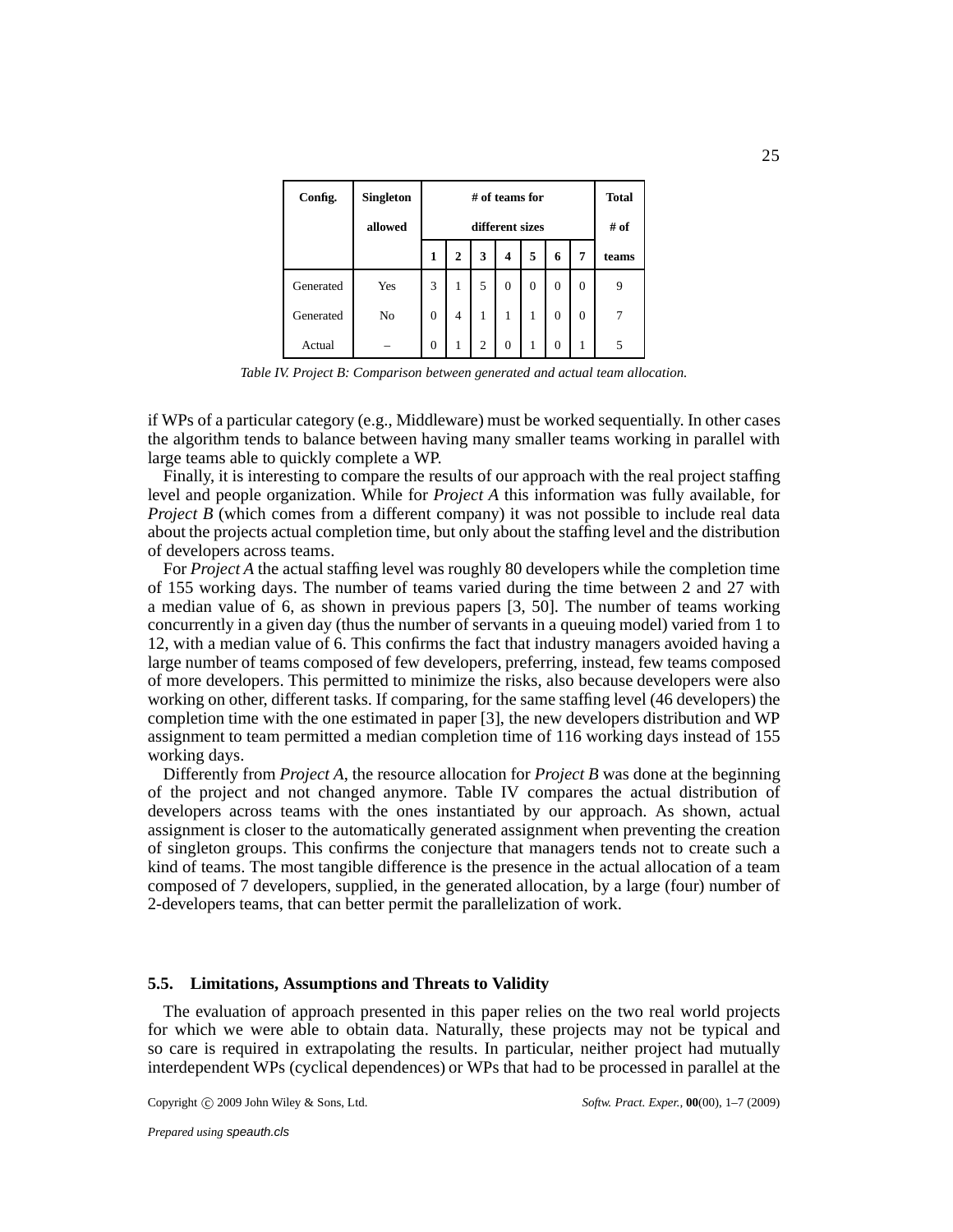| Config.   | <b>Singleton</b> | # of teams for  |   |                |                |          | <b>Total</b> |      |       |
|-----------|------------------|-----------------|---|----------------|----------------|----------|--------------|------|-------|
|           | allowed          | different sizes |   |                |                |          |              | # of |       |
|           |                  | 1               | 2 | 3              | 4              | 5        | 6            | 7    | teams |
| Generated | Yes              | 3               | 1 | 5              | $\overline{0}$ | $\Omega$ | $\theta$     | 0    | 9     |
| Generated | No               | 0               | 4 | 1              | 1              | 1        | $\theta$     | 0    |       |
| Actual    |                  | $\theta$        |   | $\overline{c}$ | $\theta$       |          | $\Omega$     |      | 5     |

*Table IV. Project B: Comparison between generated and actual team allocation.*

if WPs of a particular category (e.g., Middleware) must be worked sequentially. In other cases the algorithm tends to balance between having many smaller teams working in parallel with large teams able to quickly complete a WP.

Finally, it is interesting to compare the results of our approach with the real project staffing level and people organization. While for *Project A* this information was fully available, for *Project B* (which comes from a different company) it was not possible to include real data about the projects actual completion time, but only about the staffing level and the distribution of developers across teams.

For *Project A* the actual staffing level was roughly 80 developers while the completion time of 155 working days. The number of teams varied during the time between 2 and 27 with a median value of 6, as shown in previous papers [3, 50]. The number of teams working concurrently in a given day (thus the number of servants in a queuing model) varied from 1 to 12, with a median value of 6. This confirms the fact that industry managers avoided having a large number of teams composed of few developers, preferring, instead, few teams composed of more developers. This permitted to minimize the risks, also because developers were also working on other, different tasks. If comparing, for the same staffing level (46 developers) the completion time with the one estimated in paper [3], the new developers distribution and WP assignment to team permitted a median completion time of 116 working days instead of 155 working days.

Differently from *Project A*, the resource allocation for *Project B* was done at the beginning of the project and not changed anymore. Table IV compares the actual distribution of developers across teams with the ones instantiated by our approach. As shown, actual assignment is closer to the automatically generated assignment when preventing the creation of singleton groups. This confirms the conjecture that managers tends not to create such a kind of teams. The most tangible difference is the presence in the actual allocation of a team composed of 7 developers, supplied, in the generated allocation, by a large (four) number of 2-developers teams, that can better permit the parallelization of work.

## **5.5. Limitations, Assumptions and Threats to Validity**

The evaluation of approach presented in this paper relies on the two real world projects for which we were able to obtain data. Naturally, these projects may not be typical and so care is required in extrapolating the results. In particular, neither project had mutually interdependent WPs (cyclical dependences) or WPs that had to be processed in parallel at the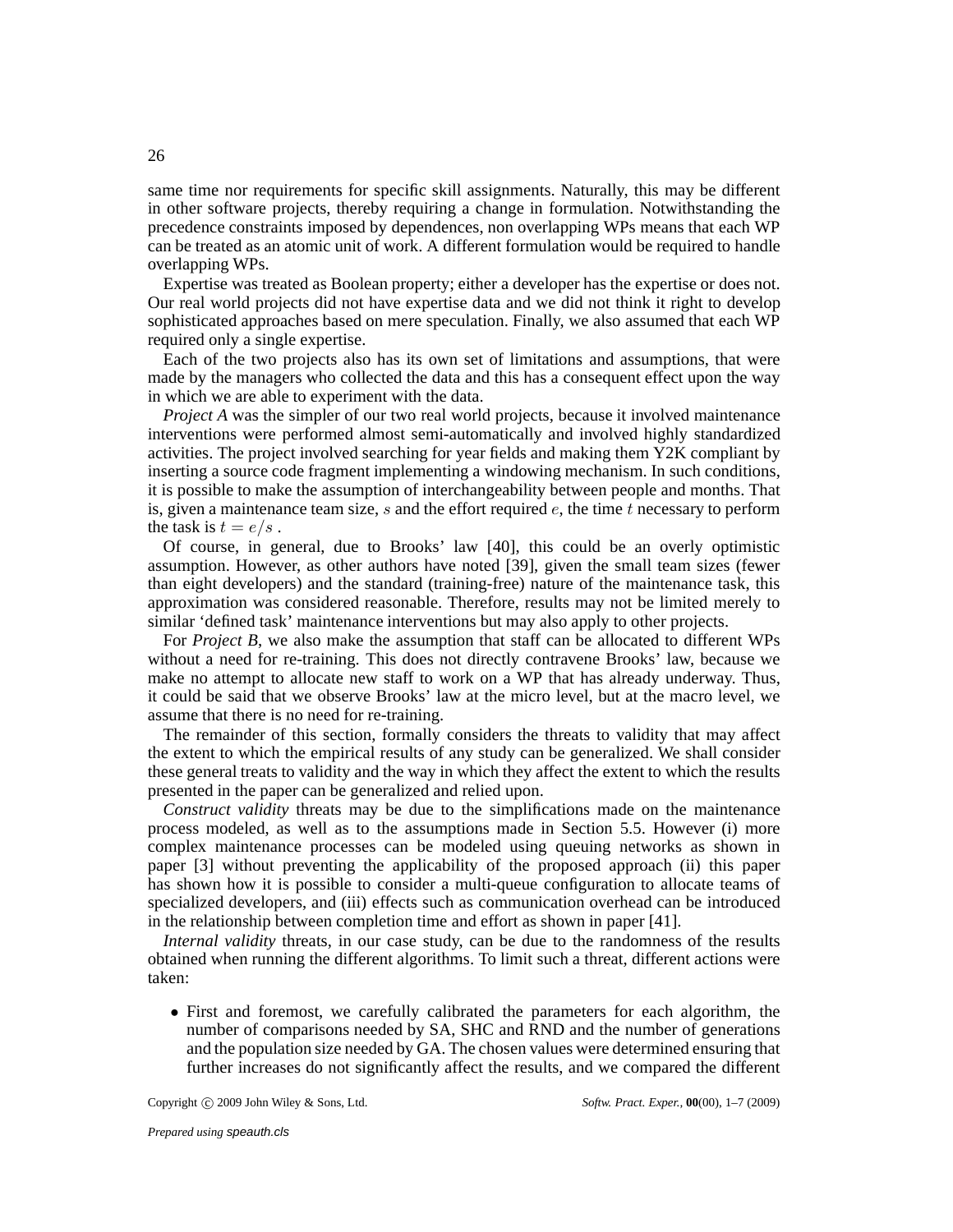same time nor requirements for specific skill assignments. Naturally, this may be different in other software projects, thereby requiring a change in formulation. Notwithstanding the precedence constraints imposed by dependences, non overlapping WPs means that each WP can be treated as an atomic unit of work. A different formulation would be required to handle overlapping WPs.

Expertise was treated as Boolean property; either a developer has the expertise or does not. Our real world projects did not have expertise data and we did not think it right to develop sophisticated approaches based on mere speculation. Finally, we also assumed that each WP required only a single expertise.

Each of the two projects also has its own set of limitations and assumptions, that were made by the managers who collected the data and this has a consequent effect upon the way in which we are able to experiment with the data.

*Project A* was the simpler of our two real world projects, because it involved maintenance interventions were performed almost semi-automatically and involved highly standardized activities. The project involved searching for year fields and making them Y2K compliant by inserting a source code fragment implementing a windowing mechanism. In such conditions, it is possible to make the assumption of interchangeability between people and months. That is, given a maintenance team size, s and the effort required  $e$ , the time t necessary to perform the task is  $t = e/s$ .

Of course, in general, due to Brooks' law [40], this could be an overly optimistic assumption. However, as other authors have noted [39], given the small team sizes (fewer than eight developers) and the standard (training-free) nature of the maintenance task, this approximation was considered reasonable. Therefore, results may not be limited merely to similar 'defined task' maintenance interventions but may also apply to other projects.

For *Project B*, we also make the assumption that staff can be allocated to different WPs without a need for re-training. This does not directly contravene Brooks' law, because we make no attempt to allocate new staff to work on a WP that has already underway. Thus, it could be said that we observe Brooks' law at the micro level, but at the macro level, we assume that there is no need for re-training.

The remainder of this section, formally considers the threats to validity that may affect the extent to which the empirical results of any study can be generalized. We shall consider these general treats to validity and the way in which they affect the extent to which the results presented in the paper can be generalized and relied upon.

*Construct validity* threats may be due to the simplifications made on the maintenance process modeled, as well as to the assumptions made in Section 5.5. However (i) more complex maintenance processes can be modeled using queuing networks as shown in paper [3] without preventing the applicability of the proposed approach (ii) this paper has shown how it is possible to consider a multi-queue configuration to allocate teams of specialized developers, and (iii) effects such as communication overhead can be introduced in the relationship between completion time and effort as shown in paper [41].

*Internal validity* threats, in our case study, can be due to the randomness of the results obtained when running the different algorithms. To limit such a threat, different actions were taken:

• First and foremost, we carefully calibrated the parameters for each algorithm, the number of comparisons needed by SA, SHC and RND and the number of generations and the population size needed by GA. The chosen values were determined ensuring that further increases do not significantly affect the results, and we compared the different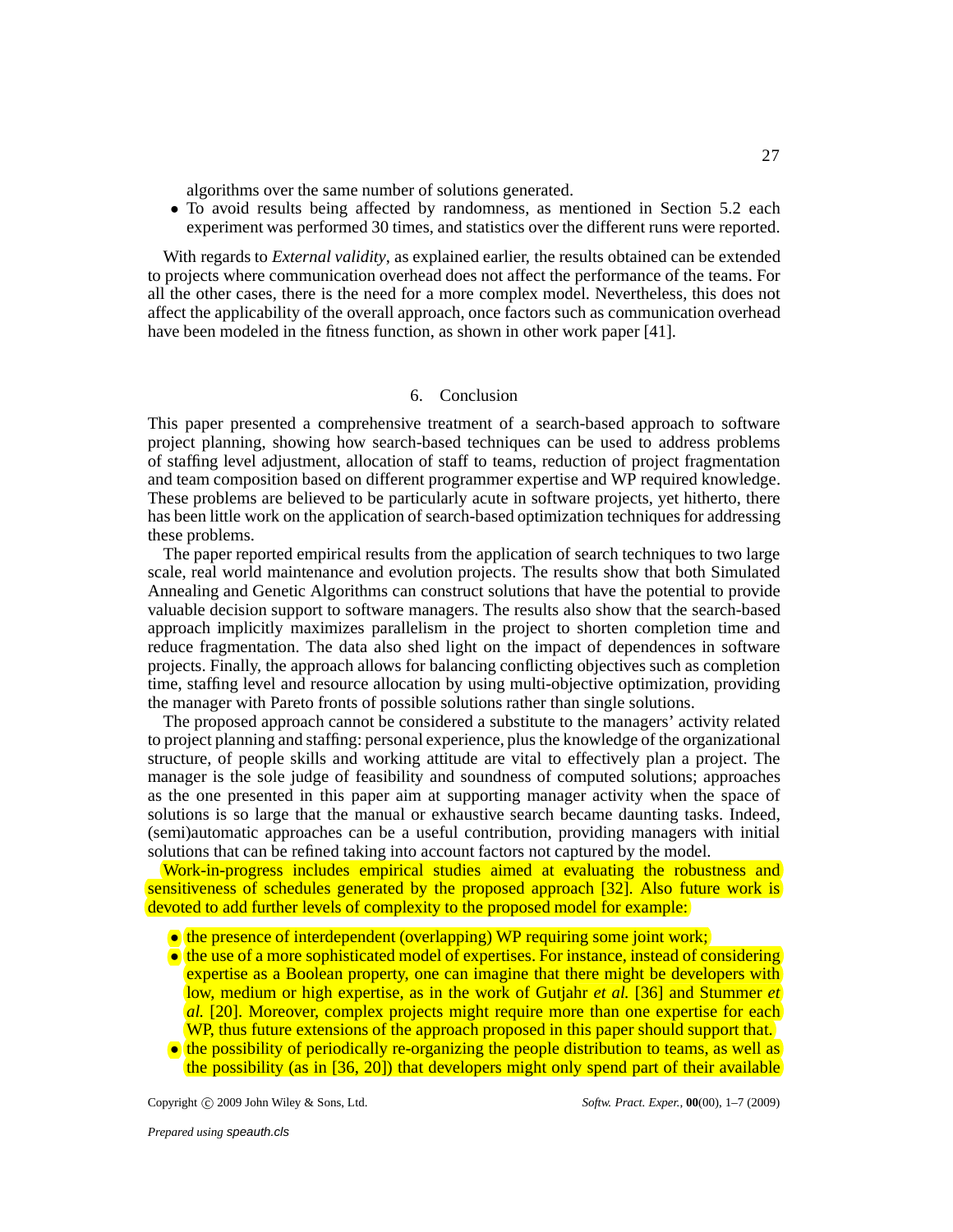algorithms over the same number of solutions generated.

• To avoid results being affected by randomness, as mentioned in Section 5.2 each experiment was performed 30 times, and statistics over the different runs were reported.

With regards to *External validity*, as explained earlier, the results obtained can be extended to projects where communication overhead does not affect the performance of the teams. For all the other cases, there is the need for a more complex model. Nevertheless, this does not affect the applicability of the overall approach, once factors such as communication overhead have been modeled in the fitness function, as shown in other work paper [41].

# 6. Conclusion

This paper presented a comprehensive treatment of a search-based approach to software project planning, showing how search-based techniques can be used to address problems of staffing level adjustment, allocation of staff to teams, reduction of project fragmentation and team composition based on different programmer expertise and WP required knowledge. These problems are believed to be particularly acute in software projects, yet hitherto, there has been little work on the application of search-based optimization techniques for addressing these problems.

The paper reported empirical results from the application of search techniques to two large scale, real world maintenance and evolution projects. The results show that both Simulated Annealing and Genetic Algorithms can construct solutions that have the potential to provide valuable decision support to software managers. The results also show that the search-based approach implicitly maximizes parallelism in the project to shorten completion time and reduce fragmentation. The data also shed light on the impact of dependences in software projects. Finally, the approach allows for balancing conflicting objectives such as completion time, staffing level and resource allocation by using multi-objective optimization, providing the manager with Pareto fronts of possible solutions rather than single solutions.

The proposed approach cannot be considered a substitute to the managers' activity related to project planning and staffing: personal experience, plus the knowledge of the organizational structure, of people skills and working attitude are vital to effectively plan a project. The manager is the sole judge of feasibility and soundness of computed solutions; approaches as the one presented in this paper aim at supporting manager activity when the space of solutions is so large that the manual or exhaustive search became daunting tasks. Indeed, (semi)automatic approaches can be a useful contribution, providing managers with initial solutions that can be refined taking into account factors not captured by the model.

Work-in-progress includes empirical studies aimed at evaluating the robustness and sensitiveness of schedules generated by the proposed approach [32]. Also future work is devoted to add further levels of complexity to the proposed model for example:

- the presence of interdependent (overlapping) WP requiring some joint work;
- the use of a more sophisticated model of expertises. For instance, instead of considering expertise as a Boolean property, one can imagine that there might be developers with low, medium or high expertise, as in the work of Gutjahr *et al.* [36] and Stummer *et al.* [20]. Moreover, complex projects might require more than one expertise for each WP, thus future extensions of the approach proposed in this paper should support that.
- $\bullet$  the possibility of periodically re-organizing the people distribution to teams, as well as the possibility (as in [36, 20]) that developers might only spend part of their available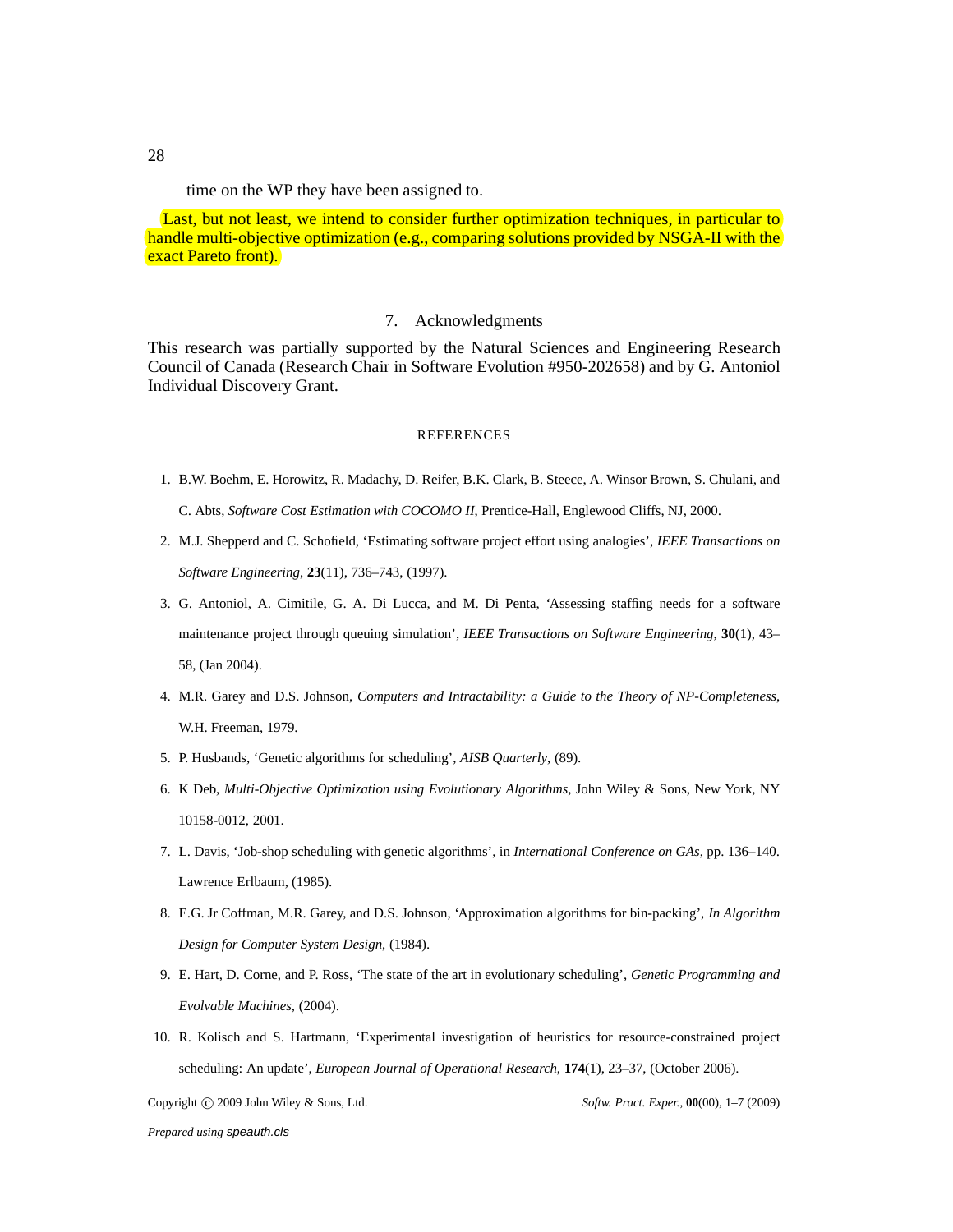time on the WP they have been assigned to.

Last, but not least, we intend to consider further optimization techniques, in particular to handle multi-objective optimization (e.g., comparing solutions provided by NSGA-II with the exact Pareto front).

## 7. Acknowledgments

This research was partially supported by the Natural Sciences and Engineering Research Council of Canada (Research Chair in Software Evolution #950-202658) and by G. Antoniol Individual Discovery Grant.

#### REFERENCES

- 1. B.W. Boehm, E. Horowitz, R. Madachy, D. Reifer, B.K. Clark, B. Steece, A. Winsor Brown, S. Chulani, and C. Abts, *Software Cost Estimation with COCOMO II*, Prentice-Hall, Englewood Cliffs, NJ, 2000.
- 2. M.J. Shepperd and C. Schofield, 'Estimating software project effort using analogies', *IEEE Transactions on Software Engineering*, **23**(11), 736–743, (1997).
- 3. G. Antoniol, A. Cimitile, G. A. Di Lucca, and M. Di Penta, 'Assessing staffing needs for a software maintenance project through queuing simulation', *IEEE Transactions on Software Engineering*, **30**(1), 43– 58, (Jan 2004).
- 4. M.R. Garey and D.S. Johnson, *Computers and Intractability: a Guide to the Theory of NP-Completeness*, W.H. Freeman, 1979.
- 5. P. Husbands, 'Genetic algorithms for scheduling', *AISB Quarterly*, (89).
- 6. K Deb, *Multi-Objective Optimization using Evolutionary Algorithms*, John Wiley & Sons, New York, NY 10158-0012, 2001.
- 7. L. Davis, 'Job-shop scheduling with genetic algorithms', in *International Conference on GAs*, pp. 136–140. Lawrence Erlbaum, (1985).
- 8. E.G. Jr Coffman, M.R. Garey, and D.S. Johnson, 'Approximation algorithms for bin-packing', *In Algorithm Design for Computer System Design*, (1984).
- 9. E. Hart, D. Corne, and P. Ross, 'The state of the art in evolutionary scheduling', *Genetic Programming and Evolvable Machines*, (2004).
- 10. R. Kolisch and S. Hartmann, 'Experimental investigation of heuristics for resource-constrained project scheduling: An update', *European Journal of Operational Research*, **174**(1), 23–37, (October 2006).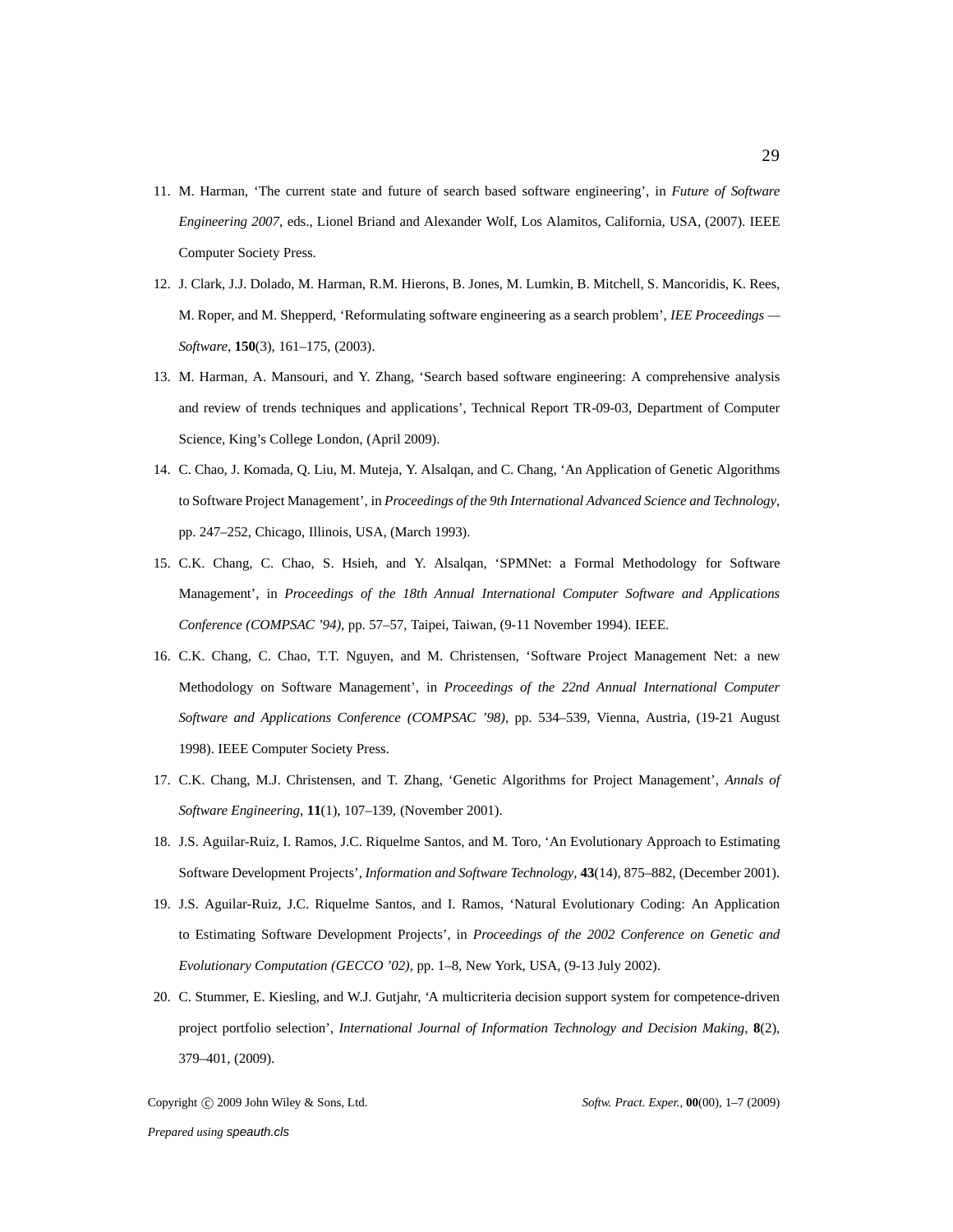- 11. M. Harman, 'The current state and future of search based software engineering', in *Future of Software Engineering 2007*, eds., Lionel Briand and Alexander Wolf, Los Alamitos, California, USA, (2007). IEEE Computer Society Press.
- 12. J. Clark, J.J. Dolado, M. Harman, R.M. Hierons, B. Jones, M. Lumkin, B. Mitchell, S. Mancoridis, K. Rees, M. Roper, and M. Shepperd, 'Reformulating software engineering as a search problem', *IEE Proceedings — Software*, **150**(3), 161–175, (2003).
- 13. M. Harman, A. Mansouri, and Y. Zhang, 'Search based software engineering: A comprehensive analysis and review of trends techniques and applications', Technical Report TR-09-03, Department of Computer Science, King's College London, (April 2009).
- 14. C. Chao, J. Komada, Q. Liu, M. Muteja, Y. Alsalqan, and C. Chang, 'An Application of Genetic Algorithms to Software Project Management', in *Proceedings of the 9th International Advanced Science and Technology*, pp. 247–252, Chicago, Illinois, USA, (March 1993).
- 15. C.K. Chang, C. Chao, S. Hsieh, and Y. Alsalqan, 'SPMNet: a Formal Methodology for Software Management', in *Proceedings of the 18th Annual International Computer Software and Applications Conference (COMPSAC '94)*, pp. 57–57, Taipei, Taiwan, (9-11 November 1994). IEEE.
- 16. C.K. Chang, C. Chao, T.T. Nguyen, and M. Christensen, 'Software Project Management Net: a new Methodology on Software Management', in *Proceedings of the 22nd Annual International Computer Software and Applications Conference (COMPSAC '98)*, pp. 534–539, Vienna, Austria, (19-21 August 1998). IEEE Computer Society Press.
- 17. C.K. Chang, M.J. Christensen, and T. Zhang, 'Genetic Algorithms for Project Management', *Annals of Software Engineering*, **11**(1), 107–139, (November 2001).
- 18. J.S. Aguilar-Ruiz, I. Ramos, J.C. Riquelme Santos, and M. Toro, 'An Evolutionary Approach to Estimating Software Development Projects', *Information and Software Technology*, **43**(14), 875–882, (December 2001).
- 19. J.S. Aguilar-Ruiz, J.C. Riquelme Santos, and I. Ramos, 'Natural Evolutionary Coding: An Application to Estimating Software Development Projects', in *Proceedings of the 2002 Conference on Genetic and Evolutionary Computation (GECCO '02)*, pp. 1–8, New York, USA, (9-13 July 2002).
- 20. C. Stummer, E. Kiesling, and W.J. Gutjahr, 'A multicriteria decision support system for competence-driven project portfolio selection', *International Journal of Information Technology and Decision Making*, **8**(2), 379–401, (2009).

Copyright c 2009 John Wiley & Sons, Ltd. *Softw. Pract. Exper.,* **00**(00), 1–7 (2009) *Prepared using* speauth.cls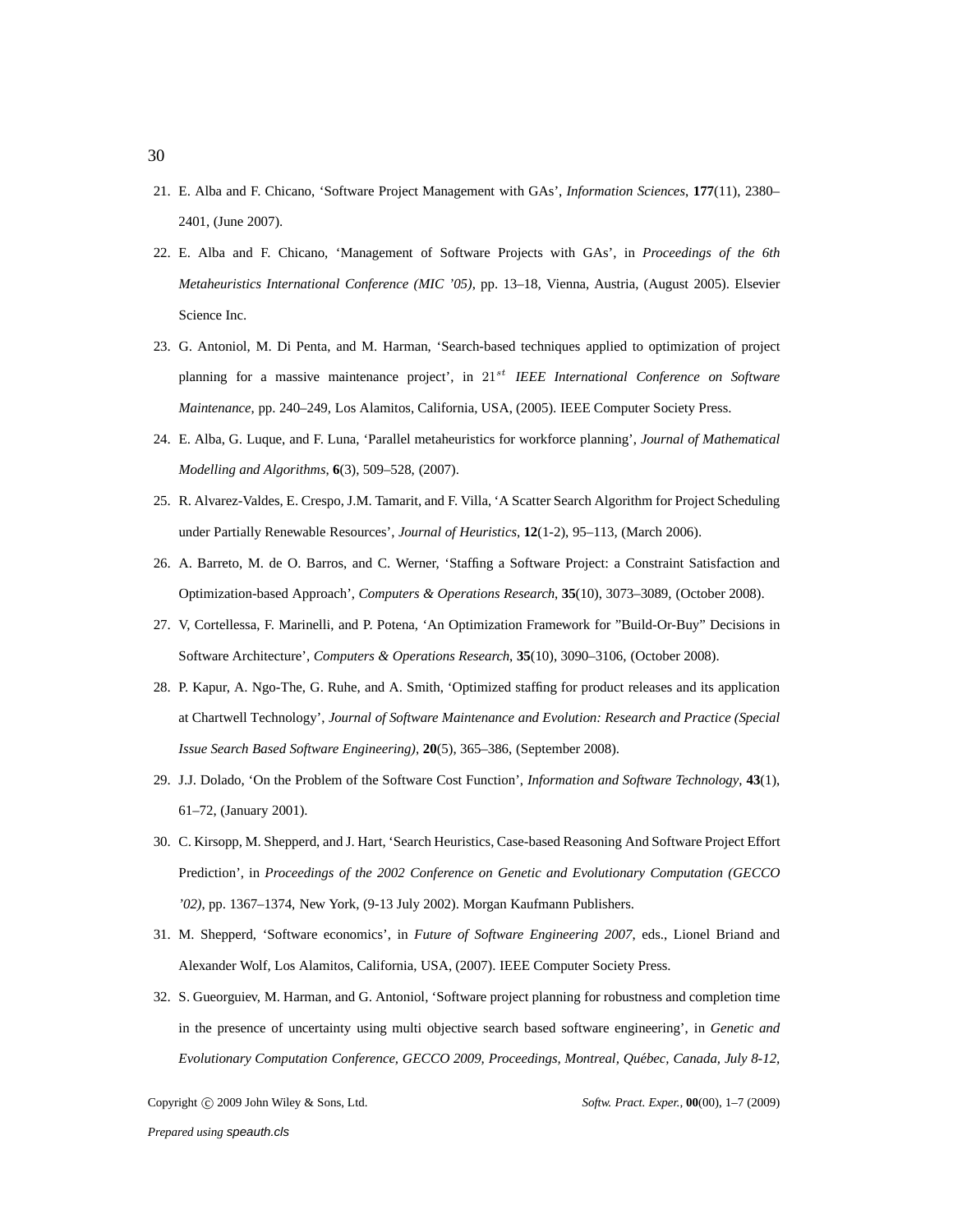- 21. E. Alba and F. Chicano, 'Software Project Management with GAs', *Information Sciences*, **177**(11), 2380– 2401, (June 2007).
- 22. E. Alba and F. Chicano, 'Management of Software Projects with GAs', in *Proceedings of the 6th Metaheuristics International Conference (MIC '05)*, pp. 13–18, Vienna, Austria, (August 2005). Elsevier Science Inc.
- 23. G. Antoniol, M. Di Penta, and M. Harman, 'Search-based techniques applied to optimization of project planning for a massive maintenance project', in 21<sup>st</sup> IEEE International Conference on Software *Maintenance*, pp. 240–249, Los Alamitos, California, USA, (2005). IEEE Computer Society Press.
- 24. E. Alba, G. Luque, and F. Luna, 'Parallel metaheuristics for workforce planning', *Journal of Mathematical Modelling and Algorithms*, **6**(3), 509–528, (2007).
- 25. R. Alvarez-Valdes, E. Crespo, J.M. Tamarit, and F. Villa, 'A Scatter Search Algorithm for Project Scheduling under Partially Renewable Resources', *Journal of Heuristics*, **12**(1-2), 95–113, (March 2006).
- 26. A. Barreto, M. de O. Barros, and C. Werner, 'Staffing a Software Project: a Constraint Satisfaction and Optimization-based Approach', *Computers & Operations Research*, **35**(10), 3073–3089, (October 2008).
- 27. V, Cortellessa, F. Marinelli, and P. Potena, 'An Optimization Framework for "Build-Or-Buy" Decisions in Software Architecture', *Computers & Operations Research*, **35**(10), 3090–3106, (October 2008).
- 28. P. Kapur, A. Ngo-The, G. Ruhe, and A. Smith, 'Optimized staffing for product releases and its application at Chartwell Technology', *Journal of Software Maintenance and Evolution: Research and Practice (Special Issue Search Based Software Engineering)*, **20**(5), 365–386, (September 2008).
- 29. J.J. Dolado, 'On the Problem of the Software Cost Function', *Information and Software Technology*, **43**(1), 61–72, (January 2001).
- 30. C. Kirsopp, M. Shepperd, and J. Hart, 'Search Heuristics, Case-based Reasoning And Software Project Effort Prediction', in *Proceedings of the 2002 Conference on Genetic and Evolutionary Computation (GECCO '02)*, pp. 1367–1374, New York, (9-13 July 2002). Morgan Kaufmann Publishers.
- 31. M. Shepperd, 'Software economics', in *Future of Software Engineering 2007*, eds., Lionel Briand and Alexander Wolf, Los Alamitos, California, USA, (2007). IEEE Computer Society Press.
- 32. S. Gueorguiev, M. Harman, and G. Antoniol, 'Software project planning for robustness and completion time in the presence of uncertainty using multi objective search based software engineering', in *Genetic and Evolutionary Computation Conference, GECCO 2009, Proceedings, Montreal, Qu´ebec, Canada, July 8-12,*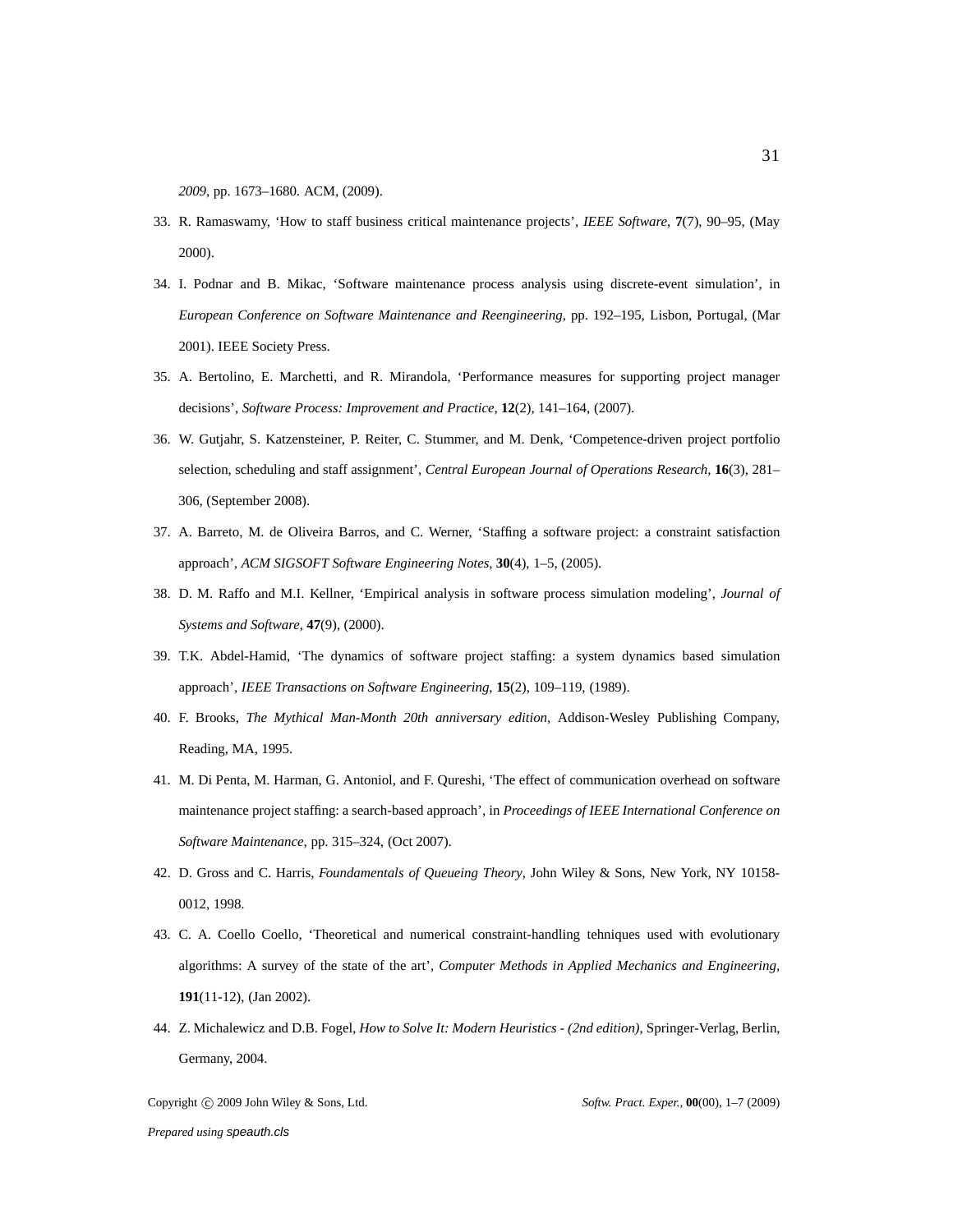*2009*, pp. 1673–1680. ACM, (2009).

- 33. R. Ramaswamy, 'How to staff business critical maintenance projects', *IEEE Software*, **7**(7), 90–95, (May 2000).
- 34. I. Podnar and B. Mikac, 'Software maintenance process analysis using discrete-event simulation', in *European Conference on Software Maintenance and Reengineering*, pp. 192–195, Lisbon, Portugal, (Mar 2001). IEEE Society Press.
- 35. A. Bertolino, E. Marchetti, and R. Mirandola, 'Performance measures for supporting project manager decisions', *Software Process: Improvement and Practice*, **12**(2), 141–164, (2007).
- 36. W. Gutjahr, S. Katzensteiner, P. Reiter, C. Stummer, and M. Denk, 'Competence-driven project portfolio selection, scheduling and staff assignment', *Central European Journal of Operations Research*, **16**(3), 281– 306, (September 2008).
- 37. A. Barreto, M. de Oliveira Barros, and C. Werner, 'Staffing a software project: a constraint satisfaction approach', *ACM SIGSOFT Software Engineering Notes*, **30**(4), 1–5, (2005).
- 38. D. M. Raffo and M.I. Kellner, 'Empirical analysis in software process simulation modeling', *Journal of Systems and Software*, **47**(9), (2000).
- 39. T.K. Abdel-Hamid, 'The dynamics of software project staffing: a system dynamics based simulation approach', *IEEE Transactions on Software Engineering*, **15**(2), 109–119, (1989).
- 40. F. Brooks, *The Mythical Man-Month 20th anniversary edition*, Addison-Wesley Publishing Company, Reading, MA, 1995.
- 41. M. Di Penta, M. Harman, G. Antoniol, and F. Qureshi, 'The effect of communication overhead on software maintenance project staffing: a search-based approach', in *Proceedings of IEEE International Conference on Software Maintenance*, pp. 315–324, (Oct 2007).
- 42. D. Gross and C. Harris, *Foundamentals of Queueing Theory*, John Wiley & Sons, New York, NY 10158- 0012, 1998.
- 43. C. A. Coello Coello, 'Theoretical and numerical constraint-handling tehniques used with evolutionary algorithms: A survey of the state of the art', *Computer Methods in Applied Mechanics and Engineering*, **191**(11-12), (Jan 2002).
- 44. Z. Michalewicz and D.B. Fogel, *How to Solve It: Modern Heuristics (2nd edition)*, Springer-Verlag, Berlin, Germany, 2004.